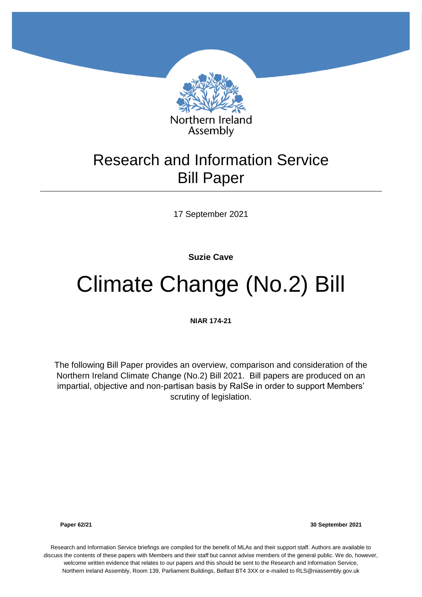

## Research and Information Service Bill Paper

17 September 2021

**Suzie Cave**

# Climate Change (No.2) Bill

**NIAR 174-21**

The following Bill Paper provides an overview, comparison and consideration of the Northern Ireland Climate Change (No.2) Bill 2021. Bill papers are produced on an impartial, objective and non-partisan basis by RaISe in order to support Members' scrutiny of legislation.

**Paper 62/21 30 September 2021**

Research and Information Service briefings are compiled for the benefit of MLAs and their support staff. Authors are available to discuss the contents of these papers with Members and their staff but cannot advise members of the general public. We do, however, welcome written evidence that relates to our papers and this should be sent to the Research and Information Service, Northern Ireland Assembly, Room 139, Parliament Buildings, Belfast BT4 3XX or e-mailed to RLS@niassembly.gov.uk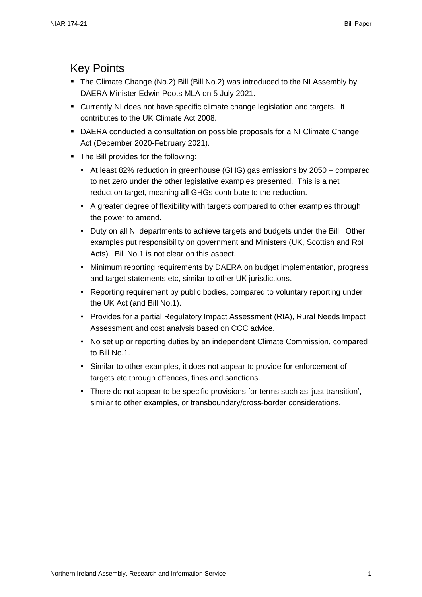### Key Points

- The Climate Change (No.2) Bill (Bill No.2) was introduced to the NI Assembly by DAERA Minister Edwin Poots MLA on 5 July 2021.
- Currently NI does not have specific climate change legislation and targets. It contributes to the UK Climate Act 2008.
- DAERA conducted a consultation on possible proposals for a NI Climate Change Act (December 2020-February 2021).
- The Bill provides for the following:
	- At least 82% reduction in greenhouse (GHG) gas emissions by 2050 compared to net zero under the other legislative examples presented. This is a net reduction target, meaning all GHGs contribute to the reduction.
	- A greater degree of flexibility with targets compared to other examples through the power to amend.
	- Duty on all NI departments to achieve targets and budgets under the Bill. Other examples put responsibility on government and Ministers (UK, Scottish and RoI Acts). Bill No.1 is not clear on this aspect.
	- Minimum reporting requirements by DAERA on budget implementation, progress and target statements etc, similar to other UK jurisdictions.
	- Reporting requirement by public bodies, compared to voluntary reporting under the UK Act (and Bill No.1).
	- Provides for a partial Regulatory Impact Assessment (RIA), Rural Needs Impact Assessment and cost analysis based on CCC advice.
	- No set up or reporting duties by an independent Climate Commission, compared to Bill No.1.
	- Similar to other examples, it does not appear to provide for enforcement of targets etc through offences, fines and sanctions.
	- There do not appear to be specific provisions for terms such as 'just transition', similar to other examples, or transboundary/cross-border considerations.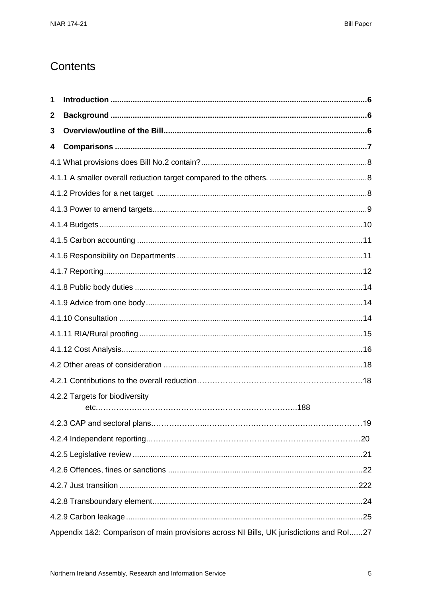## Contents

| 1           |                                                                                         |  |
|-------------|-----------------------------------------------------------------------------------------|--|
| $\mathbf 2$ |                                                                                         |  |
| 3           |                                                                                         |  |
| 4           |                                                                                         |  |
|             |                                                                                         |  |
|             |                                                                                         |  |
|             |                                                                                         |  |
|             |                                                                                         |  |
|             |                                                                                         |  |
|             |                                                                                         |  |
|             |                                                                                         |  |
|             |                                                                                         |  |
|             |                                                                                         |  |
|             |                                                                                         |  |
|             |                                                                                         |  |
|             |                                                                                         |  |
|             |                                                                                         |  |
|             |                                                                                         |  |
|             |                                                                                         |  |
|             | 4.2.2 Targets for biodiversity                                                          |  |
|             |                                                                                         |  |
|             |                                                                                         |  |
|             |                                                                                         |  |
|             |                                                                                         |  |
|             |                                                                                         |  |
|             |                                                                                         |  |
|             |                                                                                         |  |
|             | Appendix 1&2: Comparison of main provisions across NI Bills, UK jurisdictions and Rol27 |  |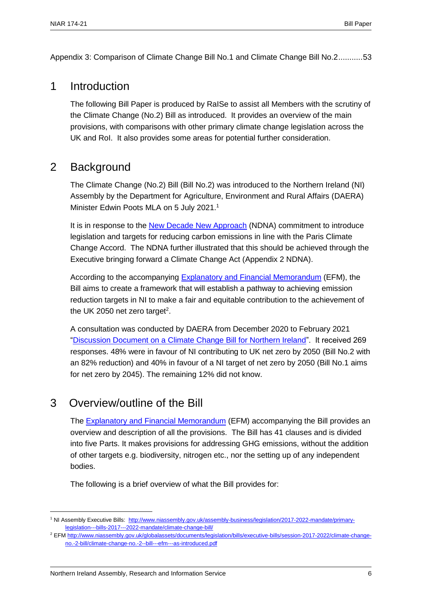<span id="page-7-0"></span>[Appendix 3: Comparison of Climate Change Bill No.1 and Climate Change Bill No.2...........53](#page-54-0)

### 1 Introduction

The following Bill Paper is produced by RaISe to assist all Members with the scrutiny of the Climate Change (No.2) Bill as introduced. It provides an overview of the main provisions, with comparisons with other primary climate change legislation across the UK and RoI. It also provides some areas for potential further consideration.

### <span id="page-7-1"></span>2 Background

The Climate Change (No.2) Bill (Bill No.2) was introduced to the Northern Ireland (NI) Assembly by the Department for Agriculture, Environment and Rural Affairs (DAERA) Minister Edwin Poots MLA on 5 July 2021.<sup>1</sup>

It is in response to the [New Decade New Approach](https://assets.publishing.service.gov.uk/government/uploads/system/uploads/attachment_data/file/856998/2020-01-08_a_new_decade__a_new_approach.pdf) (NDNA) commitment to introduce legislation and targets for reducing carbon emissions in line with the Paris Climate Change Accord. The NDNA further illustrated that this should be achieved through the Executive bringing forward a Climate Change Act (Appendix 2 NDNA).

According to the accompanying [Explanatory and Financial Memorandum](http://www.niassembly.gov.uk/globalassets/documents/legislation/bills/executive-bills/session-2017-2022/climate-change-no.-2-bill/climate-change-no.-2--bill---efm---as-introduced.pdf) (EFM), the Bill aims to create a framework that will establish a pathway to achieving emission reduction targets in NI to make a fair and equitable contribution to the achievement of the UK 2050 net zero target<sup>2</sup>.

A consultation was conducted by DAERA from December 2020 to February 2021 ["Discussion Document on a Climate Change Bill for Northern Ireland"](https://www.daera-ni.gov.uk/consultations/climatechangediscussion). It received 269 responses. 48% were in favour of NI contributing to UK net zero by 2050 (Bill No.2 with an 82% reduction) and 40% in favour of a NI target of net zero by 2050 (Bill No.1 aims for net zero by 2045). The remaining 12% did not know.

### <span id="page-7-2"></span>3 Overview/outline of the Bill

 $\overline{a}$ 

The [Explanatory and Financial Memorandum](http://www.niassembly.gov.uk/globalassets/documents/legislation/bills/executive-bills/session-2017-2022/climate-change-no.-2-bill/climate-change-no.-2--bill---efm---as-introduced.pdf) (EFM) accompanying the Bill provides an overview and description of all the provisions. The Bill has 41 clauses and is divided into five Parts. It makes provisions for addressing GHG emissions, without the addition of other targets e.g. biodiversity, nitrogen etc., nor the setting up of any independent bodies.

The following is a brief overview of what the Bill provides for:

<sup>1</sup> NI Assembly Executive Bills: [http://www.niassembly.gov.uk/assembly-business/legislation/2017-2022-mandate/primary](http://www.niassembly.gov.uk/assembly-business/legislation/2017-2022-mandate/primary-legislation---bills-2017---2022-mandate/climate-change-bill/)[legislation---bills-2017---2022-mandate/climate-change-bill/](http://www.niassembly.gov.uk/assembly-business/legislation/2017-2022-mandate/primary-legislation---bills-2017---2022-mandate/climate-change-bill/)

<sup>2</sup> EFM [http://www.niassembly.gov.uk/globalassets/documents/legislation/bills/executive-bills/session-2017-2022/climate-change](http://www.niassembly.gov.uk/globalassets/documents/legislation/bills/executive-bills/session-2017-2022/climate-change-no.-2-bill/climate-change-no.-2--bill---efm---as-introduced.pdf)[no.-2-bill/climate-change-no.-2--bill---efm---as-introduced.pdf](http://www.niassembly.gov.uk/globalassets/documents/legislation/bills/executive-bills/session-2017-2022/climate-change-no.-2-bill/climate-change-no.-2--bill---efm---as-introduced.pdf)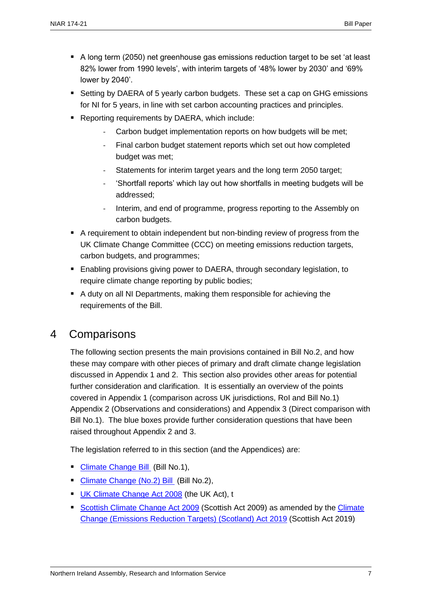- A long term (2050) net greenhouse gas emissions reduction target to be set 'at least 82% lower from 1990 levels', with interim targets of '48% lower by 2030' and '69% lower by 2040'.
- Setting by DAERA of 5 yearly carbon budgets. These set a cap on GHG emissions for NI for 5 years, in line with set carbon accounting practices and principles.
- Reporting requirements by DAERA, which include:
	- Carbon budget implementation reports on how budgets will be met;
	- Final carbon budget statement reports which set out how completed budget was met;
	- Statements for interim target years and the long term 2050 target;
	- 'Shortfall reports' which lay out how shortfalls in meeting budgets will be addressed;
	- Interim, and end of programme, progress reporting to the Assembly on carbon budgets.
- A requirement to obtain independent but non-binding review of progress from the UK Climate Change Committee (CCC) on meeting emissions reduction targets, carbon budgets, and programmes;
- Enabling provisions giving power to DAERA, through secondary legislation, to require climate change reporting by public bodies;
- A duty on all NI Departments, making them responsible for achieving the requirements of the Bill.

### <span id="page-8-0"></span>4 Comparisons

The following section presents the main provisions contained in Bill No.2, and how these may compare with other pieces of primary and draft climate change legislation discussed in Appendix 1 and 2. This section also provides other areas for potential further consideration and clarification. It is essentially an overview of the points covered in Appendix 1 (comparison across UK jurisdictions, RoI and Bill No.1) Appendix 2 (Observations and considerations) and Appendix 3 (Direct comparison with Bill No.1). The blue boxes provide further consideration questions that have been raised throughout Appendix 2 and 3.

The legislation referred to in this section (and the Appendices) are:

- [Climate Change Bill](http://www.niassembly.gov.uk/assembly-business/legislation/2017-2022-mandate/non-executive-bill-proposals/climate-change-bill/) (Bill No.1),
- [Climate Change \(No.2\) Bill](http://www.niassembly.gov.uk/assembly-business/legislation/2017-2022-mandate/primary-legislation---bills-2017---2022-mandate/climate-change-bill/) (Bill No.2),
- **[UK Climate Change Act 2008](https://www.legislation.gov.uk/ukpga/2008/27/contents) (the UK Act), t**
- [Scottish Climate Change Act 2009](https://www.legislation.gov.uk/asp/2009/12/contents) (Scottish Act 2009) as amended by the Climate [Change \(Emissions Reduction Targets\) \(Scotland\) Act 2019](https://www.legislation.gov.uk/asp/2019/15/contents) (Scottish Act 2019)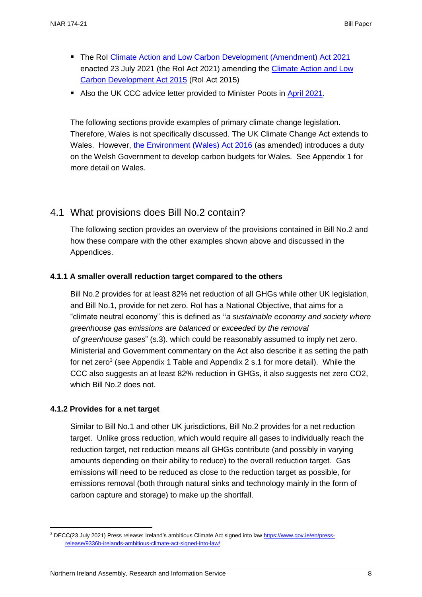- The RoI [Climate Action and Low Carbon Development \(Amendment\) Act 2021](https://www.oireachtas.ie/en/bills/bill/2021/39/) enacted 23 July 2021 (the RoI Act 2021) amending the [Climate Action and Low](http://www.irishstatutebook.ie/eli/2015/act/46/enacted/en/html)  [Carbon Development Act 2015](http://www.irishstatutebook.ie/eli/2015/act/46/enacted/en/html) (RoI Act 2015)
- Also the UK CCC advice letter provided to Minister Poots in [April 2021.](https://www.theccc.org.uk/publication/letter-economic-costs-of-setting-and-delivering-a-2050-emissions-target-for-northern-ireland/)

The following sections provide examples of primary climate change legislation. Therefore, Wales is not specifically discussed. The UK Climate Change Act extends to Wales. However, [the Environment \(Wales\) Act 2016](https://www.legislation.gov.uk/anaw/2016/3/contents/enacted) (as amended) introduces a duty on the Welsh Government to develop carbon budgets for Wales. See Appendix 1 for more detail on Wales.

#### <span id="page-9-0"></span>4.1 What provisions does Bill No.2 contain?

The following section provides an overview of the provisions contained in Bill No.2 and how these compare with the other examples shown above and discussed in the Appendices.

#### <span id="page-9-1"></span>**4.1.1 A smaller overall reduction target compared to the others**

Bill No.2 provides for at least 82% net reduction of all GHGs while other UK legislation, and Bill No.1, provide for net zero. RoI has a National Objective, that aims for a "climate neutral economy" this is defined as "*a sustainable economy and society where greenhouse gas emissions are balanced or exceeded by the removal of greenhouse gases*" (s.3). which could be reasonably assumed to imply net zero. Ministerial and Government commentary on the Act also describe it as setting the path for net zero<sup>3</sup> (see Appendix 1 Table and Appendix 2 s.1 for more detail). While the CCC also suggests an at least 82% reduction in GHGs, it also suggests net zero CO2, which Bill No.2 does not.

#### <span id="page-9-2"></span>**4.1.2 Provides for a net target**

 $\overline{a}$ 

Similar to Bill No.1 and other UK jurisdictions, Bill No.2 provides for a net reduction target. Unlike gross reduction, which would require all gases to individually reach the reduction target, net reduction means all GHGs contribute (and possibly in varying amounts depending on their ability to reduce) to the overall reduction target. Gas emissions will need to be reduced as close to the reduction target as possible, for emissions removal (both through natural sinks and technology mainly in the form of carbon capture and storage) to make up the shortfall.

<sup>3</sup> DECC(23 July 2021) Press release: Ireland's ambitious Climate Act signed into law [https://www.gov.ie/en/press](https://www.gov.ie/en/press-release/9336b-irelands-ambitious-climate-act-signed-into-law/)[release/9336b-irelands-ambitious-climate-act-signed-into-law/](https://www.gov.ie/en/press-release/9336b-irelands-ambitious-climate-act-signed-into-law/)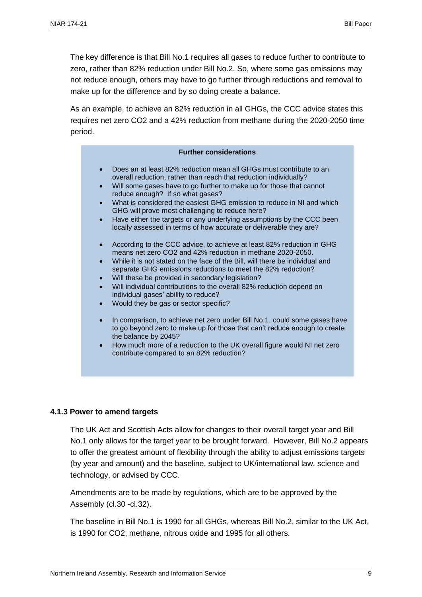The key difference is that Bill No.1 requires all gases to reduce further to contribute to zero, rather than 82% reduction under Bill No.2. So, where some gas emissions may not reduce enough, others may have to go further through reductions and removal to make up for the difference and by so doing create a balance.

As an example, to achieve an 82% reduction in all GHGs, the CCC advice states this requires net zero CO2 and a 42% reduction from methane during the 2020-2050 time period.

| <b>Further considerations</b>                                                                                                                                                                                                                                                                                                                                                                                                                                                                                                              |  |
|--------------------------------------------------------------------------------------------------------------------------------------------------------------------------------------------------------------------------------------------------------------------------------------------------------------------------------------------------------------------------------------------------------------------------------------------------------------------------------------------------------------------------------------------|--|
| Does an at least 82% reduction mean all GHGs must contribute to an<br>overall reduction, rather than reach that reduction individually?<br>Will some gases have to go further to make up for those that cannot<br>reduce enough? If so what gases?<br>What is considered the easiest GHG emission to reduce in NI and which<br>$\bullet$<br>GHG will prove most challenging to reduce here?<br>Have either the targets or any underlying assumptions by the CCC been<br>locally assessed in terms of how accurate or deliverable they are? |  |
| According to the CCC advice, to achieve at least 82% reduction in GHG<br>means net zero CO2 and 42% reduction in methane 2020-2050.<br>While it is not stated on the face of the Bill, will there be individual and<br>separate GHG emissions reductions to meet the 82% reduction?<br>Will these be provided in secondary legislation?<br>$\bullet$<br>Will individual contributions to the overall 82% reduction depend on<br>individual gases' ability to reduce?<br>Would they be gas or sector specific?                              |  |
| In comparison, to achieve net zero under Bill No.1, could some gases have<br>$\bullet$<br>to go beyond zero to make up for those that can't reduce enough to create<br>the balance by 2045?                                                                                                                                                                                                                                                                                                                                                |  |

• How much more of a reduction to the UK overall figure would NI net zero contribute compared to an 82% reduction?

#### <span id="page-10-0"></span>**4.1.3 Power to amend targets**

The UK Act and Scottish Acts allow for changes to their overall target year and Bill No.1 only allows for the target year to be brought forward. However, Bill No.2 appears to offer the greatest amount of flexibility through the ability to adjust emissions targets (by year and amount) and the baseline, subject to UK/international law, science and technology, or advised by CCC.

Amendments are to be made by regulations, which are to be approved by the Assembly (cl.30 -cl.32).

The baseline in Bill No.1 is 1990 for all GHGs, whereas Bill No.2, similar to the UK Act, is 1990 for CO2, methane, nitrous oxide and 1995 for all others.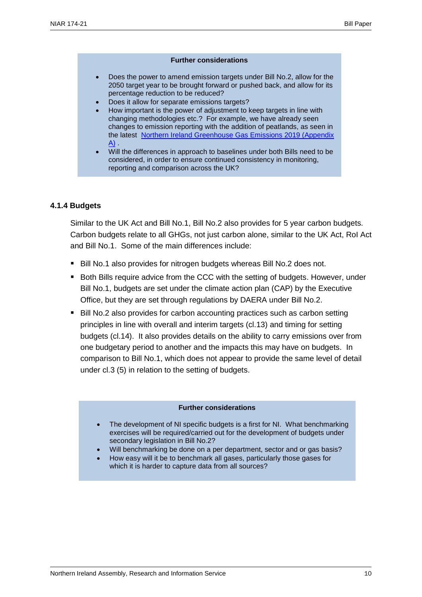#### **Further considerations**

- Does the power to amend emission targets under Bill No.2, allow for the 2050 target year to be brought forward or pushed back, and allow for its percentage reduction to be reduced?
- Does it allow for separate emissions targets?
- How important is the power of adjustment to keep targets in line with changing methodologies etc.? For example, we have already seen changes to emission reporting with the addition of peatlands, as seen in the latest [Northern Ireland Greenhouse Gas Emissions 2019 \(Appendix](https://www.daera-ni.gov.uk/publications/northern-ireland-greenhouse-gas-inventory-1990-2019-statistical-bulletin)   $A$ ) .
- Will the differences in approach to baselines under both Bills need to be considered, in order to ensure continued consistency in monitoring, reporting and comparison across the UK?

#### <span id="page-11-0"></span>**4.1.4 Budgets**

Similar to the UK Act and Bill No.1, Bill No.2 also provides for 5 year carbon budgets. Carbon budgets relate to all GHGs, not just carbon alone, similar to the UK Act, RoI Act and Bill No.1. Some of the main differences include:

- Bill No.1 also provides for nitrogen budgets whereas Bill No.2 does not.
- Both Bills require advice from the CCC with the setting of budgets. However, under Bill No.1, budgets are set under the climate action plan (CAP) by the Executive Office, but they are set through regulations by DAERA under Bill No.2.
- Bill No.2 also provides for carbon accounting practices such as carbon setting principles in line with overall and interim targets (cl.13) and timing for setting budgets (cl.14). It also provides details on the ability to carry emissions over from one budgetary period to another and the impacts this may have on budgets. In comparison to Bill No.1, which does not appear to provide the same level of detail under cl.3 (5) in relation to the setting of budgets.

#### **Further considerations**

- The development of NI specific budgets is a first for NI. What benchmarking exercises will be required/carried out for the development of budgets under secondary legislation in Bill No.2?
- Will benchmarking be done on a per department, sector and or gas basis?
- How easy will it be to benchmark all gases, particularly those gases for which it is harder to capture data from all sources?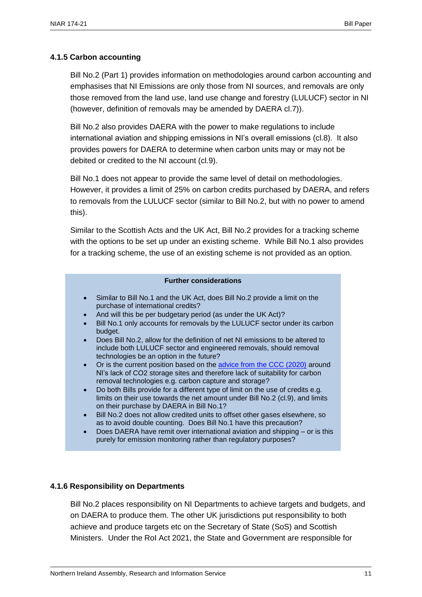#### <span id="page-12-0"></span>**4.1.5 Carbon accounting**

Bill No.2 (Part 1) provides information on methodologies around carbon accounting and emphasises that NI Emissions are only those from NI sources, and removals are only those removed from the land use, land use change and forestry (LULUCF) sector in NI (however, definition of removals may be amended by DAERA cl.7)).

Bill No.2 also provides DAERA with the power to make regulations to include international aviation and shipping emissions in NI's overall emissions (cl.8). It also provides powers for DAERA to determine when carbon units may or may not be debited or credited to the NI account (cl.9).

Bill No.1 does not appear to provide the same level of detail on methodologies. However, it provides a limit of 25% on carbon credits purchased by DAERA, and refers to removals from the LULUCF sector (similar to Bill No.2, but with no power to amend this).

Similar to the Scottish Acts and the UK Act, Bill No.2 provides for a tracking scheme with the options to be set up under an existing scheme. While Bill No.1 also provides for a tracking scheme, the use of an existing scheme is not provided as an option.

#### **Further considerations**

- Similar to Bill No.1 and the UK Act, does Bill No.2 provide a limit on the purchase of international credits?
- And will this be per budgetary period (as under the UK Act)?
- Bill No.1 only accounts for removals by the LULUCF sector under its carbon budget.
- Does Bill No.2, allow for the definition of net NI emissions to be altered to include both LULUCF sector and engineered removals, should removal technologies be an option in the future?
- Or is the current position based on the [advice from the CCC \(2020\)](https://www.theccc.org.uk/publication/letter-lord-deben-climate-change-committee-to-edwin-poots-mla/) around NI's lack of CO2 storage sites and therefore lack of suitability for carbon removal technologies e.g. carbon capture and storage?
- Do both Bills provide for a different type of limit on the use of credits e.g. limits on their use towards the net amount under Bill No.2 (cl.9), and limits on their purchase by DAERA in Bill No.1?
- Bill No.2 does not allow credited units to offset other gases elsewhere, so as to avoid double counting. Does Bill No.1 have this precaution?
- Does DAERA have remit over international aviation and shipping or is this purely for emission monitoring rather than regulatory purposes?

#### <span id="page-12-1"></span>**4.1.6 Responsibility on Departments**

Bill No.2 places responsibility on NI Departments to achieve targets and budgets, and on DAERA to produce them. The other UK jurisdictions put responsibility to both achieve and produce targets etc on the Secretary of State (SoS) and Scottish Ministers. Under the RoI Act 2021, the State and Government are responsible for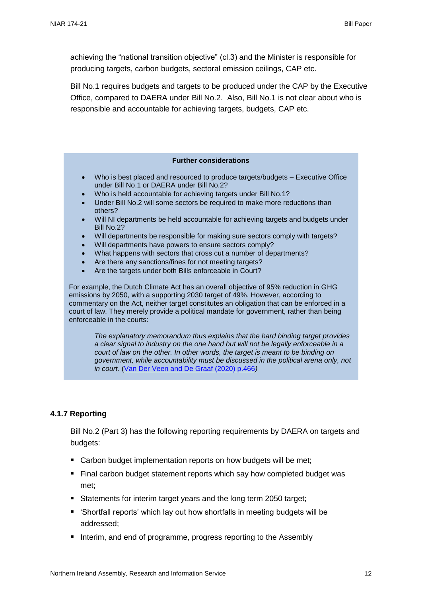achieving the "national transition objective" (cl.3) and the Minister is responsible for producing targets, carbon budgets, sectoral emission ceilings, CAP etc.

Bill No.1 requires budgets and targets to be produced under the CAP by the Executive Office, compared to DAERA under Bill No.2. Also, Bill No.1 is not clear about who is responsible and accountable for achieving targets, budgets, CAP etc.

#### **Further considerations**

- Who is best placed and resourced to produce targets/budgets Executive Office under Bill No.1 or DAERA under Bill No.2?
- Who is held accountable for achieving targets under Bill No.1?
- Under Bill No.2 will some sectors be required to make more reductions than others?
- Will NI departments be held accountable for achieving targets and budgets under Bill No.2?
- Will departments be responsible for making sure sectors comply with targets?
- Will departments have powers to ensure sectors comply?
- What happens with sectors that cross cut a number of departments?
- Are there any sanctions/fines for not meeting targets?
- Are the targets under both Bills enforceable in Court?

For example, the Dutch Climate Act has an overall objective of 95% reduction in GHG emissions by 2050, with a supporting 2030 target of 49%. However, according to commentary on the Act, neither target constitutes an obligation that can be enforced in a court of law. They merely provide a political mandate for government, rather than being enforceable in the courts:

*The explanatory memorandum thus explains that the hard binding target provides a clear signal to industry on the one hand but will not be legally enforceable in a court of law on the other. In other words, the target is meant to be binding on government, while accountability must be discussed in the political arena only, not in court.* [\(Van Der Veen and De Graaf \(2020\) p.466](https://rgakdwebsitep.blob.core.windows.net/akdfiles/2753/Climate-Litigation-Climate-Act-and-Climate-Agreement-in-The-Netherlands.pdf)*)*

#### <span id="page-13-0"></span>**4.1.7 Reporting**

Bill No.2 (Part 3) has the following reporting requirements by DAERA on targets and budgets:

- Carbon budget implementation reports on how budgets will be met;
- Final carbon budget statement reports which say how completed budget was met;
- Statements for interim target years and the long term 2050 target;
- 'Shortfall reports' which lay out how shortfalls in meeting budgets will be addressed;
- Interim, and end of programme, progress reporting to the Assembly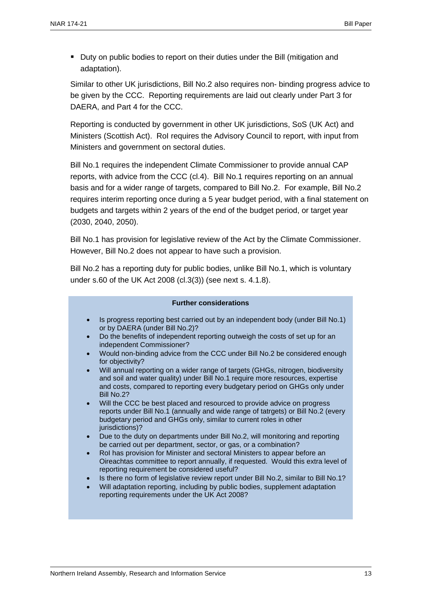■ Duty on public bodies to report on their duties under the Bill (mitigation and adaptation).

Similar to other UK jurisdictions, Bill No.2 also requires non- binding progress advice to be given by the CCC. Reporting requirements are laid out clearly under Part 3 for DAERA, and Part 4 for the CCC.

Reporting is conducted by government in other UK jurisdictions, SoS (UK Act) and Ministers (Scottish Act). RoI requires the Advisory Council to report, with input from Ministers and government on sectoral duties.

Bill No.1 requires the independent Climate Commissioner to provide annual CAP reports, with advice from the CCC (cl.4). Bill No.1 requires reporting on an annual basis and for a wider range of targets, compared to Bill No.2. For example, Bill No.2 requires interim reporting once during a 5 year budget period, with a final statement on budgets and targets within 2 years of the end of the budget period, or target year (2030, 2040, 2050).

Bill No.1 has provision for legislative review of the Act by the Climate Commissioner. However, Bill No.2 does not appear to have such a provision.

Bill No.2 has a reporting duty for public bodies, unlike Bill No.1, which is voluntary under s.60 of the UK Act 2008 (cl.3(3)) (see next s. 4.1.8).

#### **Further considerations** • Is progress reporting best carried out by an independent body (under Bill No.1) or by DAERA (under Bill No.2)? • Do the benefits of independent reporting outweigh the costs of set up for an independent Commissioner? • Would non-binding advice from the CCC under Bill No.2 be considered enough for objectivity? • Will annual reporting on a wider range of targets (GHGs, nitrogen, biodiversity and soil and water quality) under Bill No.1 require more resources, expertise and costs, compared to reporting every budgetary period on GHGs only under Bill No.2? • Will the CCC be best placed and resourced to provide advice on progress reports under Bill No.1 (annually and wide range of tatrgets) or Bill No.2 (every budgetary period and GHGs only, similar to current roles in other iurisdictions)? • Due to the duty on departments under Bill No.2, will monitoring and reporting be carried out per department, sector, or gas, or a combination? • RoI has provision for Minister and sectoral Ministers to appear before an Oireachtas committee to report annually, if requested. Would this extra level of reporting requirement be considered useful? • Is there no form of legislative review report under Bill No.2, similar to Bill No.1? • Will adaptation reporting, including by public bodies, supplement adaptation reporting requirements under the UK Act 2008?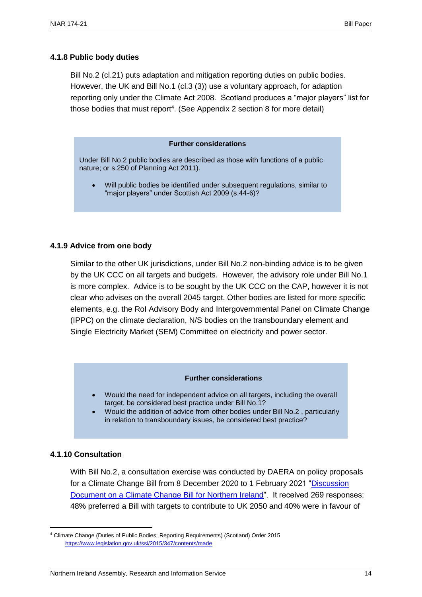#### <span id="page-15-0"></span>**4.1.8 Public body duties**

Bill No.2 (cl.21) puts adaptation and mitigation reporting duties on public bodies. However, the UK and Bill No.1 (cl.3 (3)) use a voluntary approach, for adaption reporting only under the Climate Act 2008. Scotland produces a "major players" list for those bodies that must report<sup>4</sup>. (See Appendix 2 section 8 for more detail)

#### **Further considerations**

Under Bill No.2 public bodies are described as those with functions of a public nature; or s.250 of Planning Act 2011).

Will public bodies be identified under subsequent regulations, similar to "major players" under Scottish Act 2009 (s.44-6)?

#### <span id="page-15-1"></span>**4.1.9 Advice from one body**

Similar to the other UK jurisdictions, under Bill No.2 non-binding advice is to be given by the UK CCC on all targets and budgets. However, the advisory role under Bill No.1 is more complex. Advice is to be sought by the UK CCC on the CAP, however it is not clear who advises on the overall 2045 target. Other bodies are listed for more specific elements, e.g. the RoI Advisory Body and Intergovernmental Panel on Climate Change (IPPC) on the climate declaration, N/S bodies on the transboundary element and Single Electricity Market (SEM) Committee on electricity and power sector.

#### **Further considerations**

- Would the need for independent advice on all targets, including the overall target, be considered best practice under Bill No.1?
- Would the addition of advice from other bodies under Bill No.2 , particularly in relation to transboundary issues, be considered best practice?

#### <span id="page-15-2"></span>**4.1.10 Consultation**

 $\overline{a}$ 

With Bill No.2, a consultation exercise was conducted by DAERA on policy proposals for a Climate Change Bill from 8 December 2020 to 1 February 2021 ["Discussion](https://www.daera-ni.gov.uk/consultations/climatechangediscussion)  [Document on a Climate Change Bill for Northern Ireland"](https://www.daera-ni.gov.uk/consultations/climatechangediscussion). It received 269 responses: 48% preferred a Bill with targets to contribute to UK 2050 and 40% were in favour of

<sup>4</sup> Climate Change (Duties of Public Bodies: Reporting Requirements) (Scotland) Order 2015 <https://www.legislation.gov.uk/ssi/2015/347/contents/made>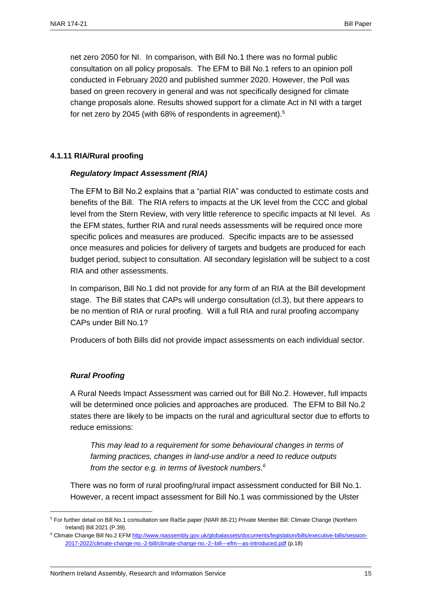net zero 2050 for NI. In comparison, with Bill No.1 there was no formal public consultation on all policy proposals. The EFM to Bill No.1 refers to an opinion poll conducted in February 2020 and published summer 2020. However, the Poll was based on green recovery in general and was not specifically designed for climate change proposals alone. Results showed support for a climate Act in NI with a target for net zero by 2045 (with 68% of respondents in agreement).<sup>5</sup>

#### <span id="page-16-0"></span>**4.1.11 RIA/Rural proofing**

#### *Regulatory Impact Assessment (RIA)*

The EFM to Bill No.2 explains that a "partial RIA" was conducted to estimate costs and benefits of the Bill. The RIA refers to impacts at the UK level from the CCC and global level from the Stern Review, with very little reference to specific impacts at NI level. As the EFM states, further RIA and rural needs assessments will be required once more specific polices and measures are produced. Specific impacts are to be assessed once measures and policies for delivery of targets and budgets are produced for each budget period, subject to consultation. All secondary legislation will be subject to a cost RIA and other assessments.

In comparison, Bill No.1 did not provide for any form of an RIA at the Bill development stage. The Bill states that CAPs will undergo consultation (cl.3), but there appears to be no mention of RIA or rural proofing. Will a full RIA and rural proofing accompany CAPs under Bill No.1?

Producers of both Bills did not provide impact assessments on each individual sector.

#### *Rural Proofing*

 $\overline{a}$ 

A Rural Needs Impact Assessment was carried out for Bill No.2. However, full impacts will be determined once policies and approaches are produced. The EFM to Bill No.2 states there are likely to be impacts on the rural and agricultural sector due to efforts to reduce emissions:

*This may lead to a requirement for some behavioural changes in terms of farming practices, changes in land-use and/or a need to reduce outputs from the sector e.g. in terms of livestock numbers. 6*

There was no form of rural proofing/rural impact assessment conducted for Bill No.1. However, a recent impact assessment for Bill No.1 was commissioned by the Ulster

<sup>5</sup> For further detail on Bill No.1 consultation see RaISe paper (NIAR 88-21) Private Member Bill: Climate Change (Northern Ireland) Bill 2021 (P.39).

<sup>&</sup>lt;sup>6</sup> Climate Change Bill No.2 EF[M http://www.niassembly.gov.uk/globalassets/documents/legislation/bills/executive-bills/session-](http://www.niassembly.gov.uk/globalassets/documents/legislation/bills/executive-bills/session-2017-2022/climate-change-no.-2-bill/climate-change-no.-2--bill---efm---as-introduced.pdf)[2017-2022/climate-change-no.-2-bill/climate-change-no.-2--bill---efm---as-introduced.pdf](http://www.niassembly.gov.uk/globalassets/documents/legislation/bills/executive-bills/session-2017-2022/climate-change-no.-2-bill/climate-change-no.-2--bill---efm---as-introduced.pdf) (p.18)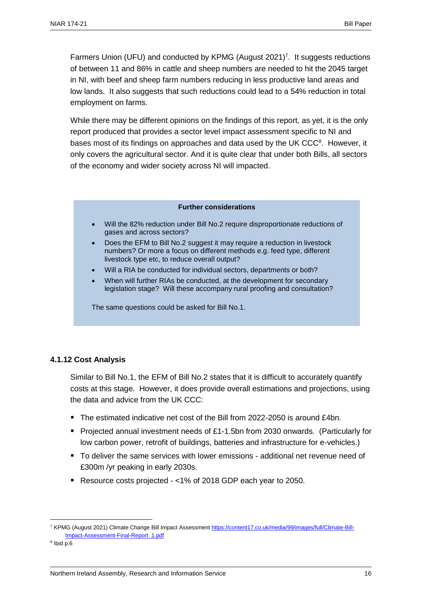Farmers Union (UFU) and conducted by KPMG (August 2021)<sup>7</sup>. It suggests reductions of between 11 and 86% in cattle and sheep numbers are needed to hit the 2045 target in NI, with beef and sheep farm numbers reducing in less productive land areas and low lands. It also suggests that such reductions could lead to a 54% reduction in total employment on farms.

While there may be different opinions on the findings of this report, as yet, it is the only report produced that provides a sector level impact assessment specific to NI and bases most of its findings on approaches and data used by the UK CCC<sup>8</sup>. However, it only covers the agricultural sector. And it is quite clear that under both Bills, all sectors of the economy and wider society across NI will impacted.

#### **Further considerations**

- Will the 82% reduction under Bill No.2 require disproportionate reductions of gases and across sectors?
- Does the EFM to Bill No.2 suggest it may require a reduction in livestock numbers? Or more a focus on different methods e.g. feed type, different livestock type etc, to reduce overall output?
- Will a RIA be conducted for individual sectors, departments or both?
- When will further RIAs be conducted, at the development for secondary legislation stage? Will these accompany rural proofing and consultation?

The same questions could be asked for Bill No.1.

#### <span id="page-17-0"></span>**4.1.12 Cost Analysis**

Similar to Bill No.1, the EFM of Bill No.2 states that it is difficult to accurately quantify costs at this stage. However, it does provide overall estimations and projections, using the data and advice from the UK CCC:

- **.** The estimated indicative net cost of the Bill from 2022-2050 is around £4bn.
- Projected annual investment needs of £1-1.5bn from 2030 onwards. (Particularly for low carbon power, retrofit of buildings, batteries and infrastructure for e-vehicles.)
- To deliver the same services with lower emissions additional net revenue need of £300m /yr peaking in early 2030s.
- Resource costs projected <1% of 2018 GDP each year to 2050.

<sup>7</sup> KPMG (August 2021) Climate Change Bill Impact Assessmen[t https://content17.co.uk/media/99/images/full/Climate-Bill-](https://content17.co.uk/media/99/images/full/Climate-Bill-Impact-Assessment-Final-Report_1.pdf)[Impact-Assessment-Final-Report\\_1.pdf](https://content17.co.uk/media/99/images/full/Climate-Bill-Impact-Assessment-Final-Report_1.pdf)

<sup>8</sup> Ibid p.6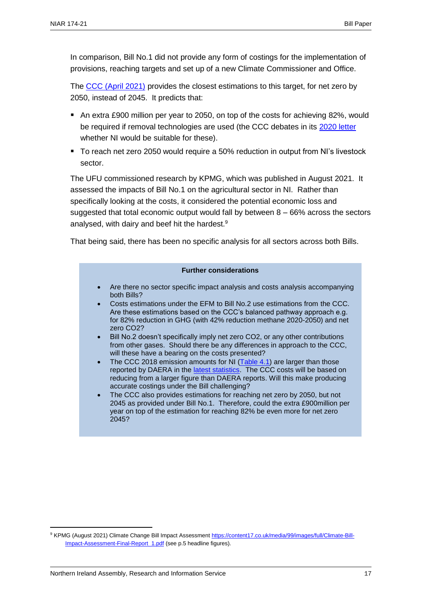In comparison, Bill No.1 did not provide any form of costings for the implementation of provisions, reaching targets and set up of a new Climate Commissioner and Office.

The [CCC \(April 2021\)](https://www.theccc.org.uk/publication/letter-economic-costs-of-setting-and-delivering-a-2050-emissions-target-for-northern-ireland/) provides the closest estimations to this target, for net zero by 2050, instead of 2045. It predicts that:

- An extra £900 million per year to 2050, on top of the costs for achieving 82%, would be required if removal technologies are used (the CCC debates in its [2020 letter](https://www.theccc.org.uk/publication/letter-lord-deben-climate-change-committee-to-edwin-poots-mla/) whether NI would be suitable for these).
- To reach net zero 2050 would require a 50% reduction in output from NI's livestock sector.

The UFU commissioned research by KPMG, which was published in August 2021. It assessed the impacts of Bill No.1 on the agricultural sector in NI. Rather than specifically looking at the costs, it considered the potential economic loss and suggested that total economic output would fall by between 8 – 66% across the sectors analysed, with dairy and beef hit the hardest.<sup>9</sup>

That being said, there has been no specific analysis for all sectors across both Bills.

#### **Further considerations**

- Are there no sector specific impact analysis and costs analysis accompanying both Bills?
- Costs estimations under the EFM to Bill No.2 use estimations from the CCC. Are these estimations based on the CCC's balanced pathway approach e.g. for 82% reduction in GHG (with 42% reduction methane 2020-2050) and net zero CO2?
- Bill No.2 doesn't specifically imply net zero CO2, or any other contributions from other gases. Should there be any differences in approach to the CCC, will these have a bearing on the costs presented?
- The CCC 2018 emission amounts for NI [\(Table 4.1\)](https://www.theccc.org.uk/wp-content/uploads/2020/12/Lord-Deben-CCC-Letter-to-DAERA-Minister.pdf) are larger than those reported by DAERA in the [latest statistics.](https://www.daera-ni.gov.uk/sites/default/files/publications/daera/NI%20Greenhouse%20Gas%20Statistics%201990-2019_2.pdf) The CCC costs will be based on reducing from a larger figure than DAERA reports. Will this make producing accurate costings under the Bill challenging?
- The CCC also provides estimations for reaching net zero by 2050, but not 2045 as provided under Bill No.1. Therefore, could the extra £900million per year on top of the estimation for reaching 82% be even more for net zero 2045?

<sup>9</sup> KPMG (August 2021) Climate Change Bill Impact Assessmen[t https://content17.co.uk/media/99/images/full/Climate-Bill-](https://content17.co.uk/media/99/images/full/Climate-Bill-Impact-Assessment-Final-Report_1.pdf)[Impact-Assessment-Final-Report\\_1.pdf](https://content17.co.uk/media/99/images/full/Climate-Bill-Impact-Assessment-Final-Report_1.pdf) (see p.5 headline figures).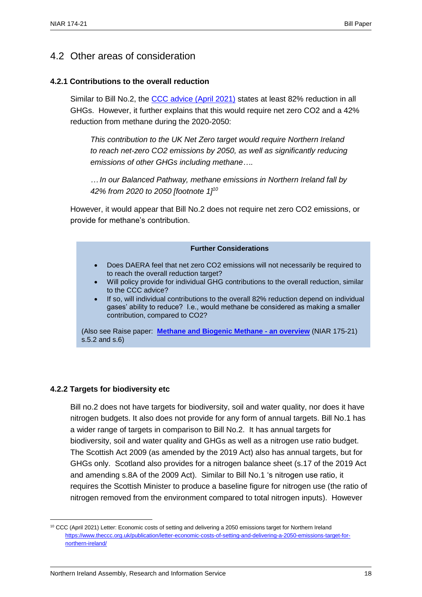### <span id="page-19-0"></span>4.2 Other areas of consideration

#### **4.2.1 Contributions to the overall reduction**

Similar to Bill No.2, the [CCC advice \(April 2021\)](https://www.theccc.org.uk/wp-content/uploads/2021/04/20210401-Letter-CCC-to-Minister-Poots.pdf) states at least 82% reduction in all GHGs. However, it further explains that this would require net zero CO2 and a 42% reduction from methane during the 2020-2050:

*This contribution to the UK Net Zero target would require Northern Ireland to reach net-zero CO2 emissions by 2050, as well as significantly reducing emissions of other GHGs including methane….*

*… In our Balanced Pathway, methane emissions in Northern Ireland fall by 42% from 2020 to 2050 [footnote 1]<sup>10</sup>*

However, it would appear that Bill No.2 does not require net zero CO2 emissions, or provide for methane's contribution.

#### **Further Considerations**

- Does DAERA feel that net zero CO2 emissions will not necessarily be required to to reach the overall reduction target?
- <span id="page-19-1"></span>• Will policy provide for individual GHG contributions to the overall reduction, similar to the CCC advice?
- If so, will individual contributions to the overall 82% reduction depend on individual gases' ability to reduce? I.e., would methane be considered as making a smaller contribution, compared to CO2?

(Also see Raise paper: **[Methane and Biogenic Methane -](http://www.niassembly.gov.uk/globalassets/documents/raise/publications/2017-2022/2021/aera/17521.pdf) an overview** (NIAR 175-21) s.5.2 and s.6)

#### **4.2.2 Targets for biodiversity etc**

 $\overline{a}$ 

Bill no.2 does not have targets for biodiversity, soil and water quality, nor does it have nitrogen budgets. It also does not provide for any form of annual targets. Bill No.1 has a wider range of targets in comparison to Bill No.2. It has annual targets for biodiversity, soil and water quality and GHGs as well as a nitrogen use ratio budget. The Scottish Act 2009 (as amended by the 2019 Act) also has annual targets, but for GHGs only. Scotland also provides for a nitrogen balance sheet (s.17 of the 2019 Act and amending s.8A of the 2009 Act). Similar to Bill No.1 's nitrogen use ratio, it requires the Scottish Minister to produce a baseline figure for nitrogen use (the ratio of nitrogen removed from the environment compared to total nitrogen inputs). However

<sup>&</sup>lt;sup>10</sup> CCC (April 2021) Letter: Economic costs of setting and delivering a 2050 emissions target for Northern Ireland [https://www.theccc.org.uk/publication/letter-economic-costs-of-setting-and-delivering-a-2050-emissions-target-for](https://www.theccc.org.uk/publication/letter-economic-costs-of-setting-and-delivering-a-2050-emissions-target-for-northern-ireland/)[northern-ireland/](https://www.theccc.org.uk/publication/letter-economic-costs-of-setting-and-delivering-a-2050-emissions-target-for-northern-ireland/)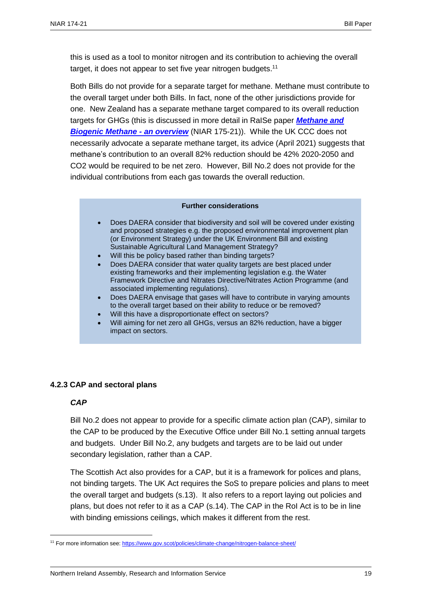this is used as a tool to monitor nitrogen and its contribution to achieving the overall target, it does not appear to set five year nitrogen budgets.<sup>11</sup>

Both Bills do not provide for a separate target for methane. Methane must contribute to the overall target under both Bills. In fact, none of the other jurisdictions provide for one. New Zealand has a separate methane target compared to its overall reduction targets for GHGs (this is discussed in more detail in RaISe paper *[Methane and](http://www.niassembly.gov.uk/globalassets/documents/raise/publications/2017-2022/2021/aera/17521.pdf)  [Biogenic Methane -](http://www.niassembly.gov.uk/globalassets/documents/raise/publications/2017-2022/2021/aera/17521.pdf) an overview* (NIAR 175-21)). While the UK CCC does not necessarily advocate a separate methane target, its advice (April 2021) suggests that methane's contribution to an overall 82% reduction should be 42% 2020-2050 and CO2 would be required to be net zero. However, Bill No.2 does not provide for the individual contributions from each gas towards the overall reduction.

#### **Further considerations**

- Does DAERA consider that biodiversity and soil will be covered under existing and proposed strategies e.g. the proposed environmental improvement plan (or Environment Strategy) under the UK Environment Bill and existing Sustainable Agricultural Land Management Strategy?
- Will this be policy based rather than binding targets?
- Does DAERA consider that water quality targets are best placed under existing frameworks and their implementing legislation e.g. the Water Framework Directive and Nitrates Directive/Nitrates Action Programme (and associated implementing regulations).
- Does DAERA envisage that gases will have to contribute in varying amounts to the overall target based on their ability to reduce or be removed?
- Will this have a disproportionate effect on sectors?
- Will aiming for net zero all GHGs, versus an 82% reduction, have a bigger impact on sectors.

#### **4.2.3 CAP and sectoral plans**

#### *CAP*

 $\overline{a}$ 

Bill No.2 does not appear to provide for a specific climate action plan (CAP), similar to the CAP to be produced by the Executive Office under Bill No.1 setting annual targets and budgets. Under Bill No.2, any budgets and targets are to be laid out under secondary legislation, rather than a CAP.

The Scottish Act also provides for a CAP, but it is a framework for polices and plans, not binding targets. The UK Act requires the SoS to prepare policies and plans to meet the overall target and budgets (s.13). It also refers to a report laying out policies and plans, but does not refer to it as a CAP (s.14). The CAP in the RoI Act is to be in line with binding emissions ceilings, which makes it different from the rest.

<sup>&</sup>lt;sup>11</sup> For more information see[: https://www.gov.scot/policies/climate-change/nitrogen-balance-sheet/](https://www.gov.scot/policies/climate-change/nitrogen-balance-sheet/)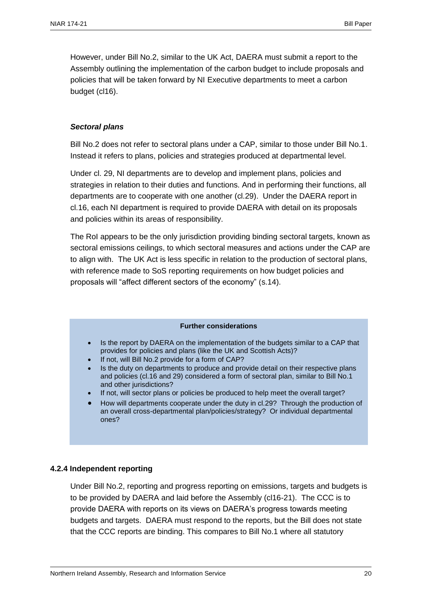However, under Bill No.2, similar to the UK Act, DAERA must submit a report to the Assembly outlining the implementation of the carbon budget to include proposals and policies that will be taken forward by NI Executive departments to meet a carbon budget (cl16).

#### *Sectoral plans*

Bill No.2 does not refer to sectoral plans under a CAP, similar to those under Bill No.1. Instead it refers to plans, policies and strategies produced at departmental level.

Under cl. 29, NI departments are to develop and implement plans, policies and strategies in relation to their duties and functions. And in performing their functions, all departments are to cooperate with one another (cl.29). Under the DAERA report in cl.16, each NI department is required to provide DAERA with detail on its proposals and policies within its areas of responsibility.

The RoI appears to be the only jurisdiction providing binding sectoral targets, known as sectoral emissions ceilings, to which sectoral measures and actions under the CAP are to align with. The UK Act is less specific in relation to the production of sectoral plans, with reference made to SoS reporting requirements on how budget policies and proposals will "affect different sectors of the economy" (s.14).

#### **Further considerations**

- Is the report by DAERA on the implementation of the budgets similar to a CAP that provides for policies and plans (like the UK and Scottish Acts)?
- If not, will Bill No.2 provide for a form of CAP?
- Is the duty on departments to produce and provide detail on their respective plans and policies (cl.16 and 29) considered a form of sectoral plan, similar to Bill No.1 and other jurisdictions?
- If not, will sector plans or policies be produced to help meet the overall target?
- How will departments cooperate under the duty in cl.29? Through the production of an overall cross-departmental plan/policies/strategy? Or individual departmental ones?

#### <span id="page-21-0"></span>**4.2.4 Independent reporting**

Under Bill No.2, reporting and progress reporting on emissions, targets and budgets is to be provided by DAERA and laid before the Assembly (cl16-21). The CCC is to provide DAERA with reports on its views on DAERA's progress towards meeting budgets and targets. DAERA must respond to the reports, but the Bill does not state that the CCC reports are binding. This compares to Bill No.1 where all statutory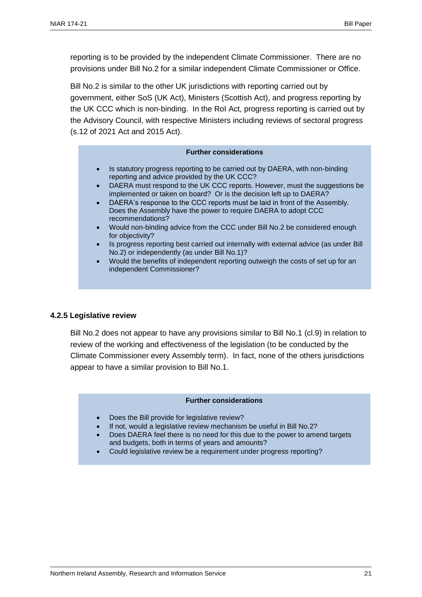reporting is to be provided by the independent Climate Commissioner. There are no provisions under Bill No.2 for a similar independent Climate Commissioner or Office.

Bill No.2 is similar to the other UK jurisdictions with reporting carried out by government, either SoS (UK Act), Ministers (Scottish Act), and progress reporting by the UK CCC which is non-binding. In the RoI Act, progress reporting is carried out by the Advisory Council, with respective Ministers including reviews of sectoral progress (s.12 of 2021 Act and 2015 Act).

#### **Further considerations**

- Is statutory progress reporting to be carried out by DAERA, with non-binding reporting and advice provided by the UK CCC?
- DAERA must respond to the UK CCC reports. However, must the suggestions be implemented or taken on board? Or is the decision left up to DAERA?
- DAERA's response to the CCC reports must be laid in front of the Assembly. Does the Assembly have the power to require DAERA to adopt CCC recommendations?
- Would non-binding advice from the CCC under Bill No.2 be considered enough for objectivity?
- Is progress reporting best carried out internally with external advice (as under Bill No.2) or independently (as under Bill No.1)?
- Would the benefits of independent reporting outweigh the costs of set up for an independent Commissioner?

#### <span id="page-22-0"></span>**4.2.5 Legislative review**

Bill No.2 does not appear to have any provisions similar to Bill No.1 (cl.9) in relation to review of the working and effectiveness of the legislation (to be conducted by the Climate Commissioner every Assembly term). In fact, none of the others jurisdictions appear to have a similar provision to Bill No.1.

#### **Further considerations**

- Does the Bill provide for legislative review?
- If not, would a legislative review mechanism be useful in Bill No.2?
- Does DAERA feel there is no need for this due to the power to amend targets and budgets, both in terms of years and amounts?
- <span id="page-22-1"></span>• Could legislative review be a requirement under progress reporting?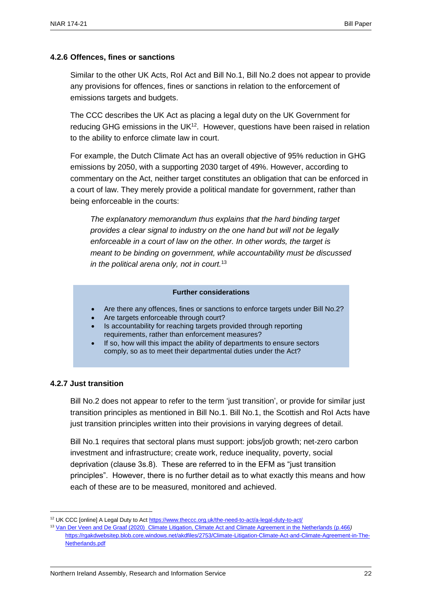#### **4.2.6 Offences, fines or sanctions**

Similar to the other UK Acts, RoI Act and Bill No.1, Bill No.2 does not appear to provide any provisions for offences, fines or sanctions in relation to the enforcement of emissions targets and budgets.

The CCC describes the UK Act as placing a legal duty on the UK Government for reducing GHG emissions in the UK $12$ . However, questions have been raised in relation to the ability to enforce climate law in court.

For example, the Dutch Climate Act has an overall objective of 95% reduction in GHG emissions by 2050, with a supporting 2030 target of 49%. However, according to commentary on the Act, neither target constitutes an obligation that can be enforced in a court of law. They merely provide a political mandate for government, rather than being enforceable in the courts:

*The explanatory memorandum thus explains that the hard binding target provides a clear signal to industry on the one hand but will not be legally enforceable in a court of law on the other. In other words, the target is meant to be binding on government, while accountability must be discussed in the political arena only, not in court.*<sup>13</sup>

#### **Further considerations**

- Are there any offences, fines or sanctions to enforce targets under Bill No.2?
- Are targets enforceable through court?
- Is accountability for reaching targets provided through reporting requirements, rather than enforcement measures?
- If so, how will this impact the ability of departments to ensure sectors comply, so as to meet their departmental duties under the Act?

#### <span id="page-23-0"></span>**4.2.7 Just transition**

 $\overline{a}$ 

Bill No.2 does not appear to refer to the term 'just transition', or provide for similar just transition principles as mentioned in Bill No.1. Bill No.1, the Scottish and RoI Acts have just transition principles written into their provisions in varying degrees of detail.

Bill No.1 requires that sectoral plans must support: jobs/job growth; net-zero carbon investment and infrastructure; create work, reduce inequality, poverty, social deprivation (clause 3s.8). These are referred to in the EFM as "just transition principles". However, there is no further detail as to what exactly this means and how each of these are to be measured, monitored and achieved.

<sup>12</sup> UK CCC [online] A Legal Duty to Ac[t https://www.theccc.org.uk/the-need-to-act/a-legal-duty-to-act/](https://www.theccc.org.uk/the-need-to-act/a-legal-duty-to-act/)

<sup>13</sup> [Van Der Veen and De Graaf \(2020\) Climate Litigation, Climate Act and Climate Agreement in the Netherlands \(p.466](file:///C:/Users/caves/AppData/Local/Microsoft/Windows/INetCache/Content.Outlook/O4R90V75/Van%20Der%20Veen%20and%20De%20Graaf%20(2020)%20%20p.466)*)* [https://rgakdwebsitep.blob.core.windows.net/akdfiles/2753/Climate-Litigation-Climate-Act-and-Climate-Agreement-in-The-](https://rgakdwebsitep.blob.core.windows.net/akdfiles/2753/Climate-Litigation-Climate-Act-and-Climate-Agreement-in-The-Netherlands.pdf)[Netherlands.pdf](https://rgakdwebsitep.blob.core.windows.net/akdfiles/2753/Climate-Litigation-Climate-Act-and-Climate-Agreement-in-The-Netherlands.pdf)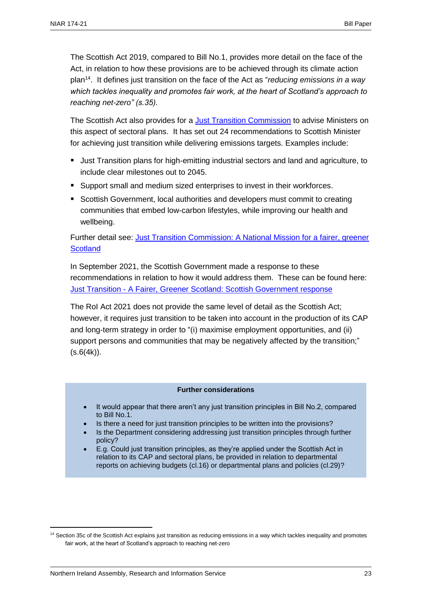The Scottish Act 2019, compared to Bill No.1, provides more detail on the face of the Act, in relation to how these provisions are to be achieved through its climate action plan<sup>14</sup> . It defines just transition on the face of the Act as "*reducing emissions in a way which tackles inequality and promotes fair work, at the heart of Scotland's approach to reaching net-zero" (s.35).* 

The Scottish Act also provides for a [Just Transition Commission](https://www.gov.scot/groups/just-transition-commission/) to advise Ministers on this aspect of sectoral plans. It has set out 24 recommendations to Scottish Minister for achieving just transition while delivering emissions targets. Examples include:

- Just Transition plans for high-emitting industrial sectors and land and agriculture, to include clear milestones out to 2045.
- Support small and medium sized enterprises to invest in their workforces.
- Scottish Government, local authorities and developers must commit to creating communities that embed low-carbon lifestyles, while improving our health and wellbeing.

Further detail see: [Just Transition Commission: A National Mission for a fairer, greener](https://www.gov.scot/publications/transition-commission-national-mission-fairer-greener-scotland/pages/5/)  **[Scotland](https://www.gov.scot/publications/transition-commission-national-mission-fairer-greener-scotland/pages/5/)** 

In September 2021, the Scottish Government made a response to these recommendations in relation to how it would address them. These can be found here: Just Transition - [A Fairer, Greener Scotland: Scottish Government response](https://www.gov.scot/publications/transition-fairer-greener-scotland/documents/)

The RoI Act 2021 does not provide the same level of detail as the Scottish Act; however, it requires just transition to be taken into account in the production of its CAP and long-term strategy in order to "(i) maximise employment opportunities, and (ii) support persons and communities that may be negatively affected by the transition;"  $(s.6(4k)).$ 

#### **Further considerations**

- It would appear that there aren't any just transition principles in Bill No.2, compared to Bill No.1.
- Is there a need for just transition principles to be written into the provisions?
- Is the Department considering addressing just transition principles through further policy?
- <span id="page-24-0"></span>• E.g. Could just transition principles, as they're applied under the Scottish Act in relation to its CAP and sectoral plans, be provided in relation to departmental reports on achieving budgets (cl.16) or departmental plans and policies (cl.29)?

<sup>&</sup>lt;sup>14</sup> Section 35c of the Scottish Act explains just transition as reducing emissions in a way which tackles inequality and promotes fair work, at the heart of Scotland's approach to reaching net-zero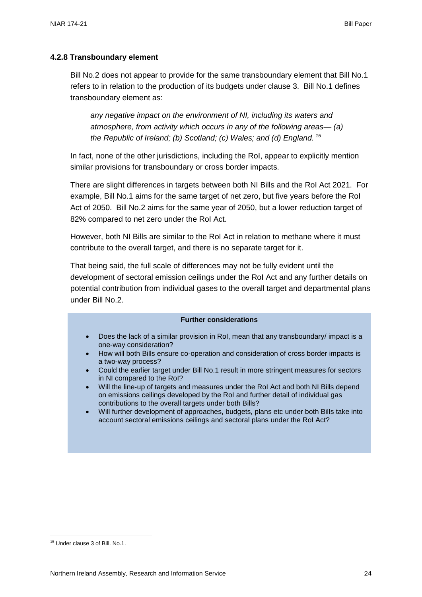#### **4.2.8 Transboundary element**

Bill No.2 does not appear to provide for the same transboundary element that Bill No.1 refers to in relation to the production of its budgets under clause 3. Bill No.1 defines transboundary element as:

*any negative impact on the environment of NI, including its waters and atmosphere, from activity which occurs in any of the following areas— (a) the Republic of Ireland; (b) Scotland; (c) Wales; and (d) England. <sup>15</sup>*

In fact, none of the other jurisdictions, including the RoI, appear to explicitly mention similar provisions for transboundary or cross border impacts.

There are slight differences in targets between both NI Bills and the RoI Act 2021. For example, Bill No.1 aims for the same target of net zero, but five years before the RoI Act of 2050. Bill No.2 aims for the same year of 2050, but a lower reduction target of 82% compared to net zero under the RoI Act.

However, both NI Bills are similar to the RoI Act in relation to methane where it must contribute to the overall target, and there is no separate target for it.

That being said, the full scale of differences may not be fully evident until the development of sectoral emission ceilings under the RoI Act and any further details on potential contribution from individual gases to the overall target and departmental plans under Bill No.2.

#### **Further considerations**

- Does the lack of a similar provision in RoI, mean that any transboundary/ impact is a one-way consideration?
- How will both Bills ensure co-operation and consideration of cross border impacts is a two-way process?
- Could the earlier target under Bill No.1 result in more stringent measures for sectors in NI compared to the RoI?
- Will the line-up of targets and measures under the RoI Act and both NI Bills depend on emissions ceilings developed by the RoI and further detail of individual gas contributions to the overall targets under both Bills?
- Will further development of approaches, budgets, plans etc under both Bills take into account sectoral emissions ceilings and sectoral plans under the RoI Act?

<sup>15</sup> Under clause 3 of Bill. No.1.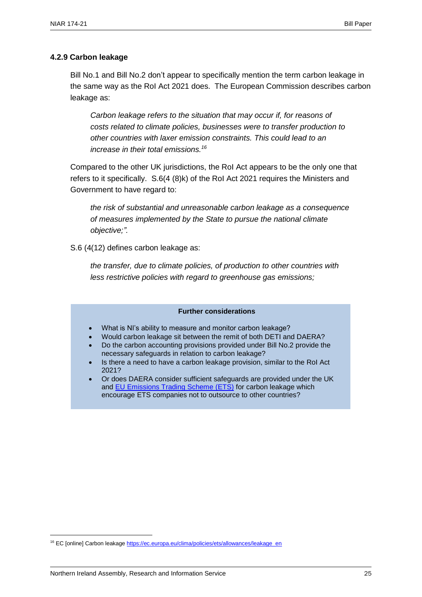#### <span id="page-26-0"></span>**4.2.9 Carbon leakage**

Bill No.1 and Bill No.2 don't appear to specifically mention the term carbon leakage in the same way as the RoI Act 2021 does. The European Commission describes carbon leakage as:

*Carbon leakage refers to the situation that may occur if, for reasons of costs related to climate policies, businesses were to transfer production to other countries with laxer emission constraints. This could lead to an increase in their total emissions.<sup>16</sup>*

Compared to the other UK jurisdictions, the RoI Act appears to be the only one that refers to it specifically. S.6(4 (8)k) of the RoI Act 2021 requires the Ministers and Government to have regard to:

*the risk of substantial and unreasonable carbon leakage as a consequence of measures implemented by the State to pursue the national climate objective;".* 

S.6 (4(12) defines carbon leakage as:

*the transfer, due to climate policies, of production to other countries with less restrictive policies with regard to greenhouse gas emissions;*

#### **Further considerations**

- What is NI's ability to measure and monitor carbon leakage?
- Would carbon leakage sit between the remit of both DETI and DAERA?
- Do the carbon accounting provisions provided under Bill No.2 provide the necessary safeguards in relation to carbon leakage?
- Is there a need to have a carbon leakage provision, similar to the RoI Act 2021?
- Or does DAERA consider sufficient safeguards are provided under the UK and **EU Emissions Trading Scheme (ETS)** for carbon leakage which encourage ETS companies not to outsource to other countries?

<sup>&</sup>lt;sup>16</sup> EC [online] Carbon leakag[e https://ec.europa.eu/clima/policies/ets/allowances/leakage\\_en](https://ec.europa.eu/clima/policies/ets/allowances/leakage_en)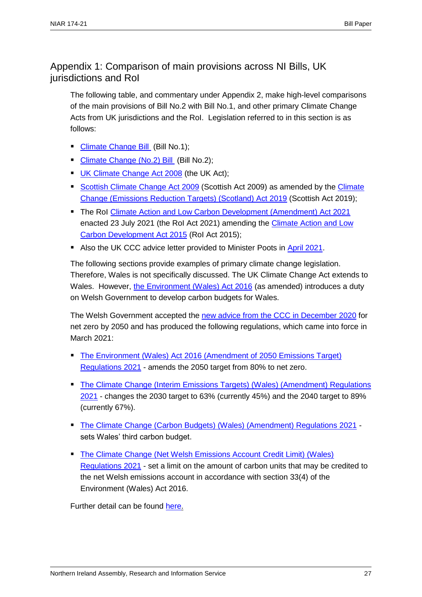### <span id="page-28-0"></span>Appendix 1: Comparison of main provisions across NI Bills, UK jurisdictions and RoI

The following table, and commentary under Appendix 2, make high-level comparisons of the main provisions of Bill No.2 with Bill No.1, and other primary Climate Change Acts from UK jurisdictions and the RoI. Legislation referred to in this section is as follows:

- [Climate Change Bill](http://www.niassembly.gov.uk/assembly-business/legislation/2017-2022-mandate/non-executive-bill-proposals/climate-change-bill/) (Bill No.1);
- [Climate Change \(No.2\) Bill](http://www.niassembly.gov.uk/assembly-business/legislation/2017-2022-mandate/primary-legislation---bills-2017---2022-mandate/climate-change-bill/) (Bill No.2);
- **[UK Climate Change Act 2008](https://www.legislation.gov.uk/ukpga/2008/27/contents)** (the UK Act);
- [Scottish Climate Change Act 2009](https://www.legislation.gov.uk/asp/2009/12/contents) (Scottish Act 2009) as amended by the Climate [Change \(Emissions Reduction Targets\) \(Scotland\) Act 2019](https://www.legislation.gov.uk/asp/2019/15/contents) (Scottish Act 2019);
- The Rol [Climate Action and Low Carbon Development \(Amendment\) Act 2021](https://www.oireachtas.ie/en/bills/bill/2021/39/) enacted 23 July 2021 (the RoI Act 2021) amending the [Climate Action and Low](http://www.irishstatutebook.ie/eli/2015/act/46/enacted/en/html)  [Carbon Development Act 2015](http://www.irishstatutebook.ie/eli/2015/act/46/enacted/en/html) (RoI Act 2015);
- Also the UK CCC advice letter provided to Minister Poots in [April 2021.](https://www.theccc.org.uk/publication/letter-economic-costs-of-setting-and-delivering-a-2050-emissions-target-for-northern-ireland/)

The following sections provide examples of primary climate change legislation. Therefore, Wales is not specifically discussed. The UK Climate Change Act extends to Wales. However, [the Environment \(Wales\) Act 2016](https://www.legislation.gov.uk/anaw/2016/3/contents/enacted) (as amended) introduces a duty on Welsh Government to develop carbon budgets for Wales.

The Welsh Government accepted the [new advice from the CCC in December 2020](https://www.theccc.org.uk/publication/the-path-to-net-zero-and-progress-reducing-emissions-in-wales/) for net zero by 2050 and has produced the following regulations, which came into force in March 2021:

- [The Environment \(Wales\) Act 2016 \(Amendment of 2050 Emissions Target\)](https://senedd.wales/media/be5gx0vh/sub-ld14108-e.pdf)  [Regulations 2021](https://senedd.wales/media/be5gx0vh/sub-ld14108-e.pdf) - amends the 2050 target from 80% to net zero.
- **The Climate Change (Interim Emissions Targets) (Wales) (Amendment) Regulations** [2021](https://senedd.wales/media/jionfw2c/sub-ld14105-e.pdf) - changes the 2030 target to 63% (currently 45%) and the 2040 target to 89% (currently 67%).
- [The Climate Change \(Carbon Budgets\) \(Wales\) \(Amendment\) Regulations 2021](https://senedd.wales/media/lrjadaus/sub-ld14106-e.pdf) sets Wales' third carbon budget.
- The Climate Change (Net Welsh Emissions Account Credit Limit) (Wales) [Regulations 2021](https://senedd.wales/media/ffnb5daw/sub-ld14107-e.pdf) - set a limit on the amount of carbon units that may be credited to the net Welsh emissions account in accordance with section 33(4) of the Environment (Wales) Act 2016.

Further detail can be found [here.](https://gov.wales/climate-change-targets-and-carbon-budgets)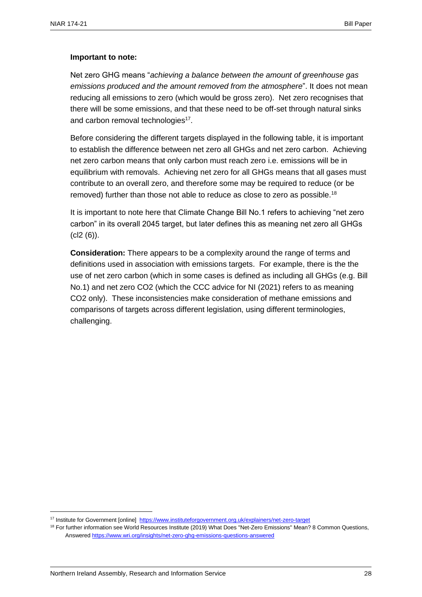#### **Important to note:**

Net zero GHG means "*achieving a balance between the amount of greenhouse gas emissions produced and the amount removed from the atmosphere*". It does not mean reducing all emissions to zero (which would be gross zero). Net zero recognises that there will be some emissions, and that these need to be off-set through natural sinks and carbon removal technologies<sup>17</sup>.

Before considering the different targets displayed in the following table, it is important to establish the difference between net zero all GHGs and net zero carbon. Achieving net zero carbon means that only carbon must reach zero i.e. emissions will be in equilibrium with removals. Achieving net zero for all GHGs means that all gases must contribute to an overall zero, and therefore some may be required to reduce (or be removed) further than those not able to reduce as close to zero as possible.<sup>18</sup>

It is important to note here that Climate Change Bill No.1 refers to achieving "net zero carbon" in its overall 2045 target, but later defines this as meaning net zero all GHGs (cl2 (6)).

**Consideration:** There appears to be a complexity around the range of terms and definitions used in association with emissions targets. For example, there is the the use of net zero carbon (which in some cases is defined as including all GHGs (e.g. Bill No.1) and net zero CO2 (which the CCC advice for NI (2021) refers to as meaning CO2 only). These inconsistencies make consideration of methane emissions and comparisons of targets across different legislation, using different terminologies, challenging.

<sup>17</sup> Institute for Government [online] <https://www.instituteforgovernment.org.uk/explainers/net-zero-target>

<sup>&</sup>lt;sup>18</sup> For further information see World Resources Institute (2019) What Does "Net-Zero Emissions" Mean? 8 Common Questions, Answered <https://www.wri.org/insights/net-zero-ghg-emissions-questions-answered>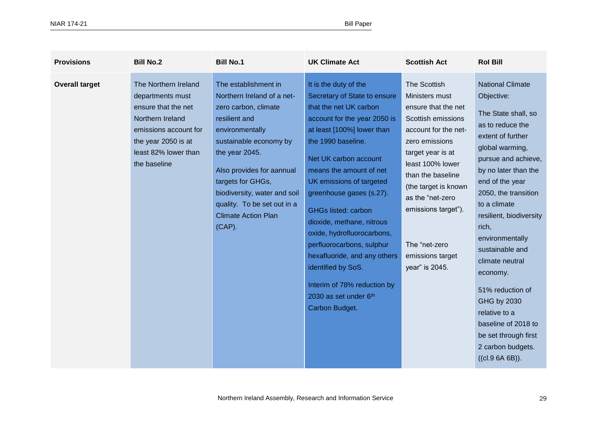| <b>Provisions</b>     | <b>Bill No.2</b>                                                                                                                                                            | <b>Bill No.1</b>                                                                                                                                                                                                                                                                                                       | <b>UK Climate Act</b>                                                                                                                                                                                                                                                                                                                                                                                                                                                                                                                 | <b>Scottish Act</b>                                                                                                                                                                                                                                                                                           | <b>Rol Bill</b>                                                                                                                                                                                                                                                                                                                                                                                                                                                                      |
|-----------------------|-----------------------------------------------------------------------------------------------------------------------------------------------------------------------------|------------------------------------------------------------------------------------------------------------------------------------------------------------------------------------------------------------------------------------------------------------------------------------------------------------------------|---------------------------------------------------------------------------------------------------------------------------------------------------------------------------------------------------------------------------------------------------------------------------------------------------------------------------------------------------------------------------------------------------------------------------------------------------------------------------------------------------------------------------------------|---------------------------------------------------------------------------------------------------------------------------------------------------------------------------------------------------------------------------------------------------------------------------------------------------------------|--------------------------------------------------------------------------------------------------------------------------------------------------------------------------------------------------------------------------------------------------------------------------------------------------------------------------------------------------------------------------------------------------------------------------------------------------------------------------------------|
| <b>Overall target</b> | The Northern Ireland<br>departments must<br>ensure that the net<br>Northern Ireland<br>emissions account for<br>the year 2050 is at<br>least 82% lower than<br>the baseline | The establishment in<br>Northern Ireland of a net-<br>zero carbon, climate<br>resilient and<br>environmentally<br>sustainable economy by<br>the year 2045.<br>Also provides for aannual<br>targets for GHGs,<br>biodiversity, water and soil<br>quality. To be set out in a<br><b>Climate Action Plan</b><br>$(CAP)$ . | It is the duty of the<br>Secretary of State to ensure<br>that the net UK carbon<br>account for the year 2050 is<br>at least [100%] lower than<br>the 1990 baseline.<br>Net UK carbon account<br>means the amount of net<br>UK emissions of targeted<br>greenhouse gases (s.27).<br><b>GHGs listed: carbon</b><br>dioxide, methane, nitrous<br>oxide, hydrofluorocarbons,<br>perfluorocarbons, sulphur<br>hexafluoride, and any others<br>identified by SoS.<br>Interim of 78% reduction by<br>2030 as set under 6th<br>Carbon Budget. | The Scottish<br>Ministers must<br>ensure that the net<br>Scottish emissions<br>account for the net-<br>zero emissions<br>target year is at<br>least 100% lower<br>than the baseline<br>(the target is known<br>as the "net-zero<br>emissions target").<br>The "net-zero<br>emissions target<br>year" is 2045. | <b>National Climate</b><br>Objective:<br>The State shall, so<br>as to reduce the<br>extent of further<br>global warming,<br>pursue and achieve,<br>by no later than the<br>end of the year<br>2050, the transition<br>to a climate<br>resilient, biodiversity<br>rich,<br>environmentally<br>sustainable and<br>climate neutral<br>economy.<br>51% reduction of<br>GHG by 2030<br>relative to a<br>baseline of 2018 to<br>be set through first<br>2 carbon budgets.<br>((cI.96A6B)). |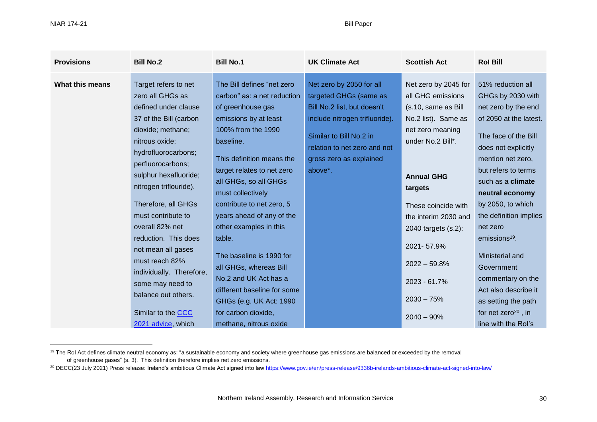| <b>Provisions</b> | <b>Bill No.2</b>                                                                                                                                                                                                                                                                                                                                                                                                                                                                    | <b>Bill No.1</b>                                                                                                                                                                                                                                                                                                                                                                                                                                                                                                                            | <b>UK Climate Act</b>                                                                                                                                                                                                | <b>Scottish Act</b>                                                                                                                                                                                                                                                                                                     | <b>Rol Bill</b>                                                                                                                                                                                                                                                                                                                                                                                                                                                                          |
|-------------------|-------------------------------------------------------------------------------------------------------------------------------------------------------------------------------------------------------------------------------------------------------------------------------------------------------------------------------------------------------------------------------------------------------------------------------------------------------------------------------------|---------------------------------------------------------------------------------------------------------------------------------------------------------------------------------------------------------------------------------------------------------------------------------------------------------------------------------------------------------------------------------------------------------------------------------------------------------------------------------------------------------------------------------------------|----------------------------------------------------------------------------------------------------------------------------------------------------------------------------------------------------------------------|-------------------------------------------------------------------------------------------------------------------------------------------------------------------------------------------------------------------------------------------------------------------------------------------------------------------------|------------------------------------------------------------------------------------------------------------------------------------------------------------------------------------------------------------------------------------------------------------------------------------------------------------------------------------------------------------------------------------------------------------------------------------------------------------------------------------------|
| What this means   | Target refers to net<br>zero all GHGs as<br>defined under clause<br>37 of the Bill (carbon<br>dioxide; methane;<br>nitrous oxide;<br>hydrofluorocarbons;<br>perfluorocarbons;<br>sulphur hexafluoride;<br>nitrogen triflouride).<br>Therefore, all GHGs<br>must contribute to<br>overall 82% net<br>reduction. This does<br>not mean all gases<br>must reach 82%<br>individually. Therefore,<br>some may need to<br>balance out others.<br>Similar to the CCC<br>2021 advice, which | The Bill defines "net zero<br>carbon" as: a net reduction<br>of greenhouse gas<br>emissions by at least<br>100% from the 1990<br>baseline.<br>This definition means the<br>target relates to net zero<br>all GHGs, so all GHGs<br>must collectively<br>contribute to net zero, 5<br>years ahead of any of the<br>other examples in this<br>table.<br>The baseline is 1990 for<br>all GHGs, whereas Bill<br>No.2 and UK Act has a<br>different baseline for some<br>GHGs (e.g. UK Act: 1990<br>for carbon dioxide,<br>methane, nitrous oxide | Net zero by 2050 for all<br>targeted GHGs (same as<br>Bill No.2 list, but doesn't<br>include nitrogen trifluoride).<br>Similar to Bill No.2 in<br>relation to net zero and not<br>gross zero as explained<br>above*. | Net zero by 2045 for<br>all GHG emissions<br>(s.10, same as Bill<br>No.2 list). Same as<br>net zero meaning<br>under No.2 Bill*.<br><b>Annual GHG</b><br>targets<br>These coincide with<br>the interim 2030 and<br>2040 targets (s.2):<br>2021-57.9%<br>$2022 - 59.8%$<br>2023 - 61.7%<br>$2030 - 75%$<br>$2040 - 90\%$ | 51% reduction all<br>GHGs by 2030 with<br>net zero by the end<br>of 2050 at the latest.<br>The face of the Bill<br>does not explicitly<br>mention net zero,<br>but refers to terms<br>such as a <b>climate</b><br>neutral economy<br>by 2050, to which<br>the definition implies<br>net zero<br>emissions <sup>19</sup> .<br>Ministerial and<br>Government<br>commentary on the<br>Act also describe it<br>as setting the path<br>for net zero <sup>20</sup> , in<br>line with the Rol's |

<sup>&</sup>lt;sup>19</sup> The RoI Act defines climate neutral economy as: "a sustainable economy and society where greenhouse gas emissions are balanced or exceeded by the removal of greenhouse gases" (s. 3). This definition therefore implies net zero emissions.

<sup>&</sup>lt;sup>20</sup> DECC(23 July 2021) Press release: Ireland's ambitious Climate Act signed into law <https://www.gov.ie/en/press-release/9336b-irelands-ambitious-climate-act-signed-into-law/>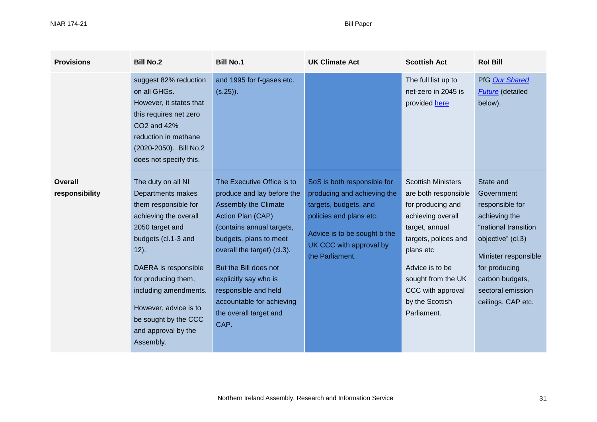| <b>Provisions</b>                | <b>Bill No.2</b>                                                                                                                                                                                                                                                                                           | <b>Bill No.1</b>                                                                                                                                                                                                                                                                                                                            | <b>UK Climate Act</b>                                                                                                                                                                        | <b>Scottish Act</b>                                                                                                                                                                                                                                | <b>Rol Bill</b>                                                                                                                                                                                                 |
|----------------------------------|------------------------------------------------------------------------------------------------------------------------------------------------------------------------------------------------------------------------------------------------------------------------------------------------------------|---------------------------------------------------------------------------------------------------------------------------------------------------------------------------------------------------------------------------------------------------------------------------------------------------------------------------------------------|----------------------------------------------------------------------------------------------------------------------------------------------------------------------------------------------|----------------------------------------------------------------------------------------------------------------------------------------------------------------------------------------------------------------------------------------------------|-----------------------------------------------------------------------------------------------------------------------------------------------------------------------------------------------------------------|
|                                  | suggest 82% reduction<br>on all GHGs.<br>However, it states that<br>this requires net zero<br>CO2 and 42%<br>reduction in methane<br>(2020-2050). Bill No.2<br>does not specify this.                                                                                                                      | and 1995 for f-gases etc.<br>$(s.25)$ ).                                                                                                                                                                                                                                                                                                    |                                                                                                                                                                                              | The full list up to<br>net-zero in 2045 is<br>provided here                                                                                                                                                                                        | PfG Our Shared<br><b>Future</b> (detailed<br>below).                                                                                                                                                            |
| <b>Overall</b><br>responsibility | The duty on all NI<br>Departments makes<br>them responsible for<br>achieving the overall<br>2050 target and<br>budgets (cl.1-3 and<br>$12$ ).<br>DAERA is responsible<br>for producing them,<br>including amendments.<br>However, advice is to<br>be sought by the CCC<br>and approval by the<br>Assembly. | The Executive Office is to<br>produce and lay before the<br><b>Assembly the Climate</b><br>Action Plan (CAP)<br>(contains annual targets,<br>budgets, plans to meet<br>overall the target) (cl.3).<br>But the Bill does not<br>explicitly say who is<br>responsible and held<br>accountable for achieving<br>the overall target and<br>CAP. | SoS is both responsible for<br>producing and achieving the<br>targets, budgets, and<br>policies and plans etc.<br>Advice is to be sought b the<br>UK CCC with approval by<br>the Parliament. | <b>Scottish Ministers</b><br>are both responsible<br>for producing and<br>achieving overall<br>target, annual<br>targets, polices and<br>plans etc<br>Advice is to be<br>sought from the UK<br>CCC with approval<br>by the Scottish<br>Parliament. | State and<br>Government<br>responsible for<br>achieving the<br>"national transition<br>objective" (cl.3)<br>Minister responsible<br>for producing<br>carbon budgets,<br>sectoral emission<br>ceilings, CAP etc. |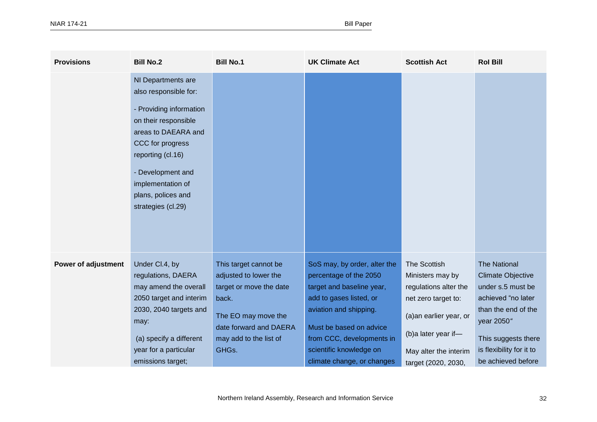| <b>Provisions</b>          | <b>Bill No.2</b>                                                                                                                                                                                                                                     | <b>Bill No.1</b>                                                                                                                                                       | <b>UK Climate Act</b>                                                                                                                                                                                                                                     | <b>Scottish Act</b>                                                                                                                                                                      | <b>Rol Bill</b>                                                                                                                                                                                          |
|----------------------------|------------------------------------------------------------------------------------------------------------------------------------------------------------------------------------------------------------------------------------------------------|------------------------------------------------------------------------------------------------------------------------------------------------------------------------|-----------------------------------------------------------------------------------------------------------------------------------------------------------------------------------------------------------------------------------------------------------|------------------------------------------------------------------------------------------------------------------------------------------------------------------------------------------|----------------------------------------------------------------------------------------------------------------------------------------------------------------------------------------------------------|
|                            | NI Departments are<br>also responsible for:<br>- Providing information<br>on their responsible<br>areas to DAEARA and<br>CCC for progress<br>reporting (cl.16)<br>- Development and<br>implementation of<br>plans, polices and<br>strategies (cl.29) |                                                                                                                                                                        |                                                                                                                                                                                                                                                           |                                                                                                                                                                                          |                                                                                                                                                                                                          |
| <b>Power of adjustment</b> | Under Cl.4, by<br>regulations, DAERA<br>may amend the overall<br>2050 target and interim<br>2030, 2040 targets and<br>may:<br>(a) specify a different<br>year for a particular<br>emissions target;                                                  | This target cannot be<br>adjusted to lower the<br>target or move the date<br>back.<br>The EO may move the<br>date forward and DAERA<br>may add to the list of<br>GHGs. | SoS may, by order, alter the<br>percentage of the 2050<br>target and baseline year,<br>add to gases listed, or<br>aviation and shipping.<br>Must be based on advice<br>from CCC, developments in<br>scientific knowledge on<br>climate change, or changes | <b>The Scottish</b><br>Ministers may by<br>regulations alter the<br>net zero target to:<br>(a)an earlier year, or<br>(b)a later year if-<br>May alter the interim<br>target (2020, 2030, | <b>The National</b><br><b>Climate Objective</b><br>under s.5 must be<br>achieved "no later<br>than the end of the<br>year 2050"<br>This suggests there<br>is flexibility for it to<br>be achieved before |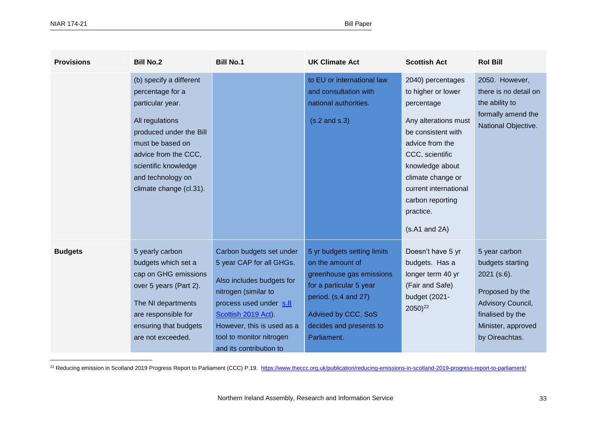| <b>Provisions</b> | <b>Bill No.2</b>                                                                                                                                                                                                                  | <b>Bill No.1</b>                                                                                                                                                                                                                                | <b>UK Climate Act</b>                                                                                                                                                                           | <b>Scottish Act</b>                                                                                                                                                                                                                                          | <b>Rol Bill</b>                                                                                                                                        |
|-------------------|-----------------------------------------------------------------------------------------------------------------------------------------------------------------------------------------------------------------------------------|-------------------------------------------------------------------------------------------------------------------------------------------------------------------------------------------------------------------------------------------------|-------------------------------------------------------------------------------------------------------------------------------------------------------------------------------------------------|--------------------------------------------------------------------------------------------------------------------------------------------------------------------------------------------------------------------------------------------------------------|--------------------------------------------------------------------------------------------------------------------------------------------------------|
|                   | (b) specify a different<br>percentage for a<br>particular year.<br>All regulations<br>produced under the Bill<br>must be based on<br>advice from the CCC,<br>scientific knowledge<br>and technology on<br>climate change (cl.31). |                                                                                                                                                                                                                                                 | to EU or international law<br>and consultation with<br>national authorities.<br>$(s.2$ and $s.3)$                                                                                               | 2040) percentages<br>to higher or lower<br>percentage<br>Any alterations must<br>be consistent with<br>advice from the<br>CCC, scientific<br>knowledge about<br>climate change or<br>current international<br>carbon reporting<br>practice.<br>(s.A1 and 2A) | 2050. However,<br>there is no detail on<br>the ability to<br>formally amend the<br>National Objective.                                                 |
| <b>Budgets</b>    | 5 yearly carbon<br>budgets which set a<br>cap on GHG emissions<br>over 5 years (Part 2).<br>The NI departments<br>are responsible for<br>ensuring that budgets<br>are not exceeded.                                               | Carbon budgets set under<br>5 year CAP for all GHGs.<br>Also includes budgets for<br>nitrogen (similar to<br>process used under s.8<br>Scottish 2019 Act).<br>However, this is used as a<br>tool to monitor nitrogen<br>and its contribution to | 5 yr budgets setting limits<br>on the amount of<br>greenhouse gas emissions<br>for a particular 5 year<br>period. (s.4 and 27)<br>Advised by CCC, SoS<br>decides and presents to<br>Parliament. | Doesn't have 5 yr<br>budgets. Has a<br>longer term 40 yr<br>(Fair and Safe)<br>budget (2021-<br>$2050)^{22}$                                                                                                                                                 | 5 year carbon<br>budgets starting<br>$2021$ (s.6).<br>Proposed by the<br>Advisory Council,<br>finalised by the<br>Minister, approved<br>by Oireachtas. |

<sup>22</sup> Reducing emission in Scotland 2019 Progress Report to Parliament (CCC) P.19. <https://www.theccc.org.uk/publication/reducing-emissions-in-scotland-2019-progress-report-to-parliament/>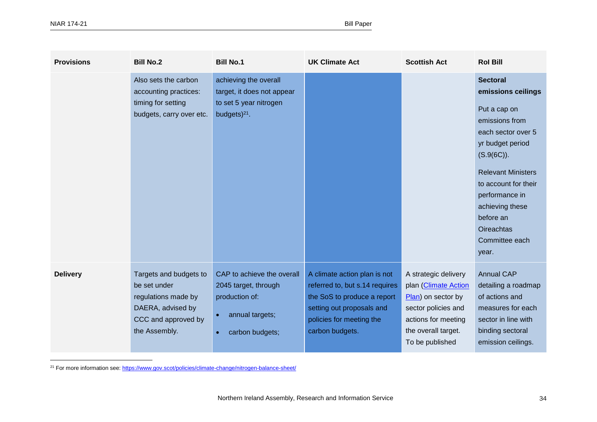| <b>Provisions</b> | <b>Bill No.2</b>                                                                                                           | <b>Bill No.1</b>                                                                                                        | <b>UK Climate Act</b>                                                                                                                                                     | <b>Scottish Act</b>                                                                                                                                        | <b>Rol Bill</b>                                                                                                                                                                                                                                                                           |
|-------------------|----------------------------------------------------------------------------------------------------------------------------|-------------------------------------------------------------------------------------------------------------------------|---------------------------------------------------------------------------------------------------------------------------------------------------------------------------|------------------------------------------------------------------------------------------------------------------------------------------------------------|-------------------------------------------------------------------------------------------------------------------------------------------------------------------------------------------------------------------------------------------------------------------------------------------|
|                   | Also sets the carbon<br>accounting practices:<br>timing for setting<br>budgets, carry over etc.                            | achieving the overall<br>target, it does not appear<br>to set 5 year nitrogen<br>budgets $)^{21}$ .                     |                                                                                                                                                                           |                                                                                                                                                            | <b>Sectoral</b><br>emissions ceilings<br>Put a cap on<br>emissions from<br>each sector over 5<br>yr budget period<br>$(S.9(6C))$ .<br><b>Relevant Ministers</b><br>to account for their<br>performance in<br>achieving these<br>before an<br><b>Oireachtas</b><br>Committee each<br>year. |
| <b>Delivery</b>   | Targets and budgets to<br>be set under<br>regulations made by<br>DAERA, advised by<br>CCC and approved by<br>the Assembly. | CAP to achieve the overall<br>2045 target, through<br>production of:<br>annual targets;<br>$\bullet$<br>carbon budgets; | A climate action plan is not<br>referred to, but s.14 requires<br>the SoS to produce a report<br>setting out proposals and<br>policies for meeting the<br>carbon budgets. | A strategic delivery<br>plan (Climate Action<br>Plan) on sector by<br>sector policies and<br>actions for meeting<br>the overall target.<br>To be published | <b>Annual CAP</b><br>detailing a roadmap<br>of actions and<br>measures for each<br>sector in line with<br>binding sectoral<br>emission ceilings.                                                                                                                                          |

<sup>21</sup> For more information see[: https://www.gov.scot/policies/climate-change/nitrogen-balance-sheet/](https://www.gov.scot/policies/climate-change/nitrogen-balance-sheet/)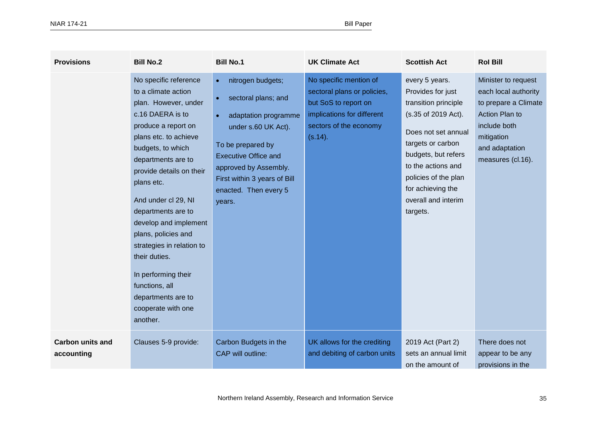| <b>Provisions</b>                     | <b>Bill No.2</b>                                                                                                                                                                                                                                                                                                                                                                                                                                                          | <b>Bill No.1</b>                                                                                                                                                                                                                                     | <b>UK Climate Act</b>                                                                                                                            | <b>Scottish Act</b>                                                                                                                                                                                                                                         | <b>Rol Bill</b>                                                                                                                                                   |
|---------------------------------------|---------------------------------------------------------------------------------------------------------------------------------------------------------------------------------------------------------------------------------------------------------------------------------------------------------------------------------------------------------------------------------------------------------------------------------------------------------------------------|------------------------------------------------------------------------------------------------------------------------------------------------------------------------------------------------------------------------------------------------------|--------------------------------------------------------------------------------------------------------------------------------------------------|-------------------------------------------------------------------------------------------------------------------------------------------------------------------------------------------------------------------------------------------------------------|-------------------------------------------------------------------------------------------------------------------------------------------------------------------|
|                                       | No specific reference<br>to a climate action<br>plan. However, under<br>c.16 DAERA is to<br>produce a report on<br>plans etc. to achieve<br>budgets, to which<br>departments are to<br>provide details on their<br>plans etc.<br>And under cl 29, NI<br>departments are to<br>develop and implement<br>plans, policies and<br>strategies in relation to<br>their duties.<br>In performing their<br>functions, all<br>departments are to<br>cooperate with one<br>another. | nitrogen budgets;<br>$\bullet$<br>sectoral plans; and<br>adaptation programme<br>under s.60 UK Act).<br>To be prepared by<br><b>Executive Office and</b><br>approved by Assembly.<br>First within 3 years of Bill<br>enacted. Then every 5<br>years. | No specific mention of<br>sectoral plans or policies,<br>but SoS to report on<br>implications for different<br>sectors of the economy<br>(s.14). | every 5 years.<br>Provides for just<br>transition principle<br>(s.35 of 2019 Act).<br>Does not set annual<br>targets or carbon<br>budgets, but refers<br>to the actions and<br>policies of the plan<br>for achieving the<br>overall and interim<br>targets. | Minister to request<br>each local authority<br>to prepare a Climate<br><b>Action Plan to</b><br>include both<br>mitigation<br>and adaptation<br>measures (cl.16). |
| <b>Carbon units and</b><br>accounting | Clauses 5-9 provide:                                                                                                                                                                                                                                                                                                                                                                                                                                                      | Carbon Budgets in the<br>CAP will outline:                                                                                                                                                                                                           | UK allows for the crediting<br>and debiting of carbon units                                                                                      | 2019 Act (Part 2)<br>sets an annual limit<br>on the amount of                                                                                                                                                                                               | There does not<br>appear to be any<br>provisions in the                                                                                                           |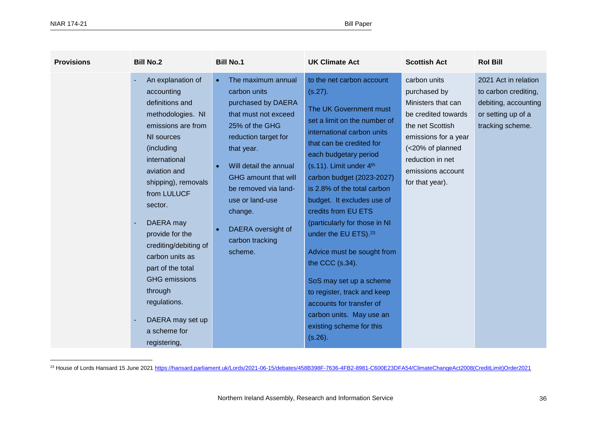| <b>Provisions</b> | <b>Bill No.2</b>                                                                                                                                                                                                                                                                                                                                                                                                    | <b>Bill No.1</b>                                                                                                                                                                                                                                                                                                  | <b>UK Climate Act</b>                                                                                                                                                                                                                                                                                                                                                                                                                                                                                                                                                                                                | <b>Scottish Act</b>                                                                                                                                                                                   | <b>Rol Bill</b>                                                                                                |
|-------------------|---------------------------------------------------------------------------------------------------------------------------------------------------------------------------------------------------------------------------------------------------------------------------------------------------------------------------------------------------------------------------------------------------------------------|-------------------------------------------------------------------------------------------------------------------------------------------------------------------------------------------------------------------------------------------------------------------------------------------------------------------|----------------------------------------------------------------------------------------------------------------------------------------------------------------------------------------------------------------------------------------------------------------------------------------------------------------------------------------------------------------------------------------------------------------------------------------------------------------------------------------------------------------------------------------------------------------------------------------------------------------------|-------------------------------------------------------------------------------------------------------------------------------------------------------------------------------------------------------|----------------------------------------------------------------------------------------------------------------|
|                   | An explanation of<br>accounting<br>definitions and<br>methodologies. NI<br>emissions are from<br>NI sources<br>(including<br>international<br>aviation and<br>shipping), removals<br>from LULUCF<br>sector.<br>DAERA may<br>provide for the<br>crediting/debiting of<br>carbon units as<br>part of the total<br><b>GHG</b> emissions<br>through<br>regulations.<br>DAERA may set up<br>a scheme for<br>registering, | The maximum annual<br>$\bullet$<br>carbon units<br>purchased by DAERA<br>that must not exceed<br>25% of the GHG<br>reduction target for<br>that year.<br>Will detail the annual<br>GHG amount that will<br>be removed via land-<br>use or land-use<br>change.<br>DAERA oversight of<br>carbon tracking<br>scheme. | to the net carbon account<br>(s.27).<br>The UK Government must<br>set a limit on the number of<br>international carbon units<br>that can be credited for<br>each budgetary period<br>$(s.11)$ . Limit under $4th$<br>carbon budget (2023-2027)<br>is 2.8% of the total carbon<br>budget. It excludes use of<br>credits from EU ETS<br>(particularly for those in NI<br>under the EU ETS). <sup>23</sup><br>Advice must be sought from<br>the CCC (s.34).<br>SoS may set up a scheme<br>to register, track and keep<br>accounts for transfer of<br>carbon units. May use an<br>existing scheme for this<br>$(s.26)$ . | carbon units<br>purchased by<br>Ministers that can<br>be credited towards<br>the net Scottish<br>emissions for a year<br>(<20% of planned<br>reduction in net<br>emissions account<br>for that year). | 2021 Act in relation<br>to carbon crediting,<br>debiting, accounting<br>or setting up of a<br>tracking scheme. |

<sup>23</sup> House of Lords Hansard 15 June 202[1 https://hansard.parliament.uk/Lords/2021-06-15/debates/458B398F-7636-4FB2-8981-C600E23DFA54/ClimateChangeAct2008\(CreditLimit\)Order2021](https://hansard.parliament.uk/Lords/2021-06-15/debates/458B398F-7636-4FB2-8981-C600E23DFA54/ClimateChangeAct2008(CreditLimit)Order2021)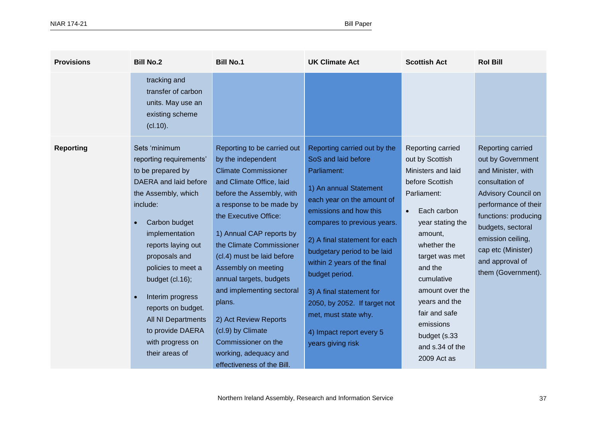| <b>Provisions</b> | <b>Bill No.2</b>                                                                                                                                                                                                                                                                                                                                                                      | <b>Bill No.1</b>                                                                                                                                                                                                                                                                                                                                                                                                                                                                                          | <b>UK Climate Act</b>                                                                                                                                                                                                                                                                                                                                                                                                                     | <b>Scottish Act</b>                                                                                                                                                                                                                                                                                                                   | <b>Rol Bill</b>                                                                                                                                                                                                                                                 |
|-------------------|---------------------------------------------------------------------------------------------------------------------------------------------------------------------------------------------------------------------------------------------------------------------------------------------------------------------------------------------------------------------------------------|-----------------------------------------------------------------------------------------------------------------------------------------------------------------------------------------------------------------------------------------------------------------------------------------------------------------------------------------------------------------------------------------------------------------------------------------------------------------------------------------------------------|-------------------------------------------------------------------------------------------------------------------------------------------------------------------------------------------------------------------------------------------------------------------------------------------------------------------------------------------------------------------------------------------------------------------------------------------|---------------------------------------------------------------------------------------------------------------------------------------------------------------------------------------------------------------------------------------------------------------------------------------------------------------------------------------|-----------------------------------------------------------------------------------------------------------------------------------------------------------------------------------------------------------------------------------------------------------------|
|                   | tracking and<br>transfer of carbon<br>units. May use an<br>existing scheme<br>(cl.10).                                                                                                                                                                                                                                                                                                |                                                                                                                                                                                                                                                                                                                                                                                                                                                                                                           |                                                                                                                                                                                                                                                                                                                                                                                                                                           |                                                                                                                                                                                                                                                                                                                                       |                                                                                                                                                                                                                                                                 |
| <b>Reporting</b>  | Sets 'minimum<br>reporting requirements'<br>to be prepared by<br>DAERA and laid before<br>the Assembly, which<br>include:<br>Carbon budget<br>implementation<br>reports laying out<br>proposals and<br>policies to meet a<br>budget $(cl.16);$<br>Interim progress<br>$\bullet$<br>reports on budget.<br>All NI Departments<br>to provide DAERA<br>with progress on<br>their areas of | Reporting to be carried out<br>by the independent<br><b>Climate Commissioner</b><br>and Climate Office, laid<br>before the Assembly, with<br>a response to be made by<br>the Executive Office:<br>1) Annual CAP reports by<br>the Climate Commissioner<br>(cl.4) must be laid before<br>Assembly on meeting<br>annual targets, budgets<br>and implementing sectoral<br>plans.<br>2) Act Review Reports<br>(cl.9) by Climate<br>Commissioner on the<br>working, adequacy and<br>effectiveness of the Bill. | Reporting carried out by the<br>SoS and laid before<br>Parliament:<br>1) An annual Statement<br>each year on the amount of<br>emissions and how this<br>compares to previous years.<br>2) A final statement for each<br>budgetary period to be laid<br>within 2 years of the final<br>budget period.<br>3) A final statement for<br>2050, by 2052. If target not<br>met, must state why.<br>4) Impact report every 5<br>years giving risk | Reporting carried<br>out by Scottish<br>Ministers and laid<br>before Scottish<br>Parliament:<br>Each carbon<br>$\bullet$<br>year stating the<br>amount,<br>whether the<br>target was met<br>and the<br>cumulative<br>amount over the<br>years and the<br>fair and safe<br>emissions<br>budget (s.33<br>and s.34 of the<br>2009 Act as | Reporting carried<br>out by Government<br>and Minister, with<br>consultation of<br>Advisory Council on<br>performance of their<br>functions: producing<br>budgets, sectoral<br>emission ceiling,<br>cap etc (Minister)<br>and approval of<br>them (Government). |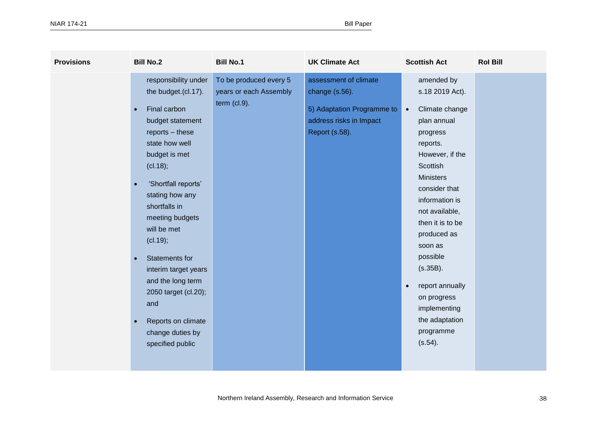| <b>Provisions</b> | <b>Bill No.2</b>                                                                                                                                                                                                                                                                                                                                                                                                                                                           | <b>Bill No.1</b>                                                   | <b>UK Climate Act</b>                                                                                              | <b>Scottish Act</b>                                                                                                                                                                                                                                                                                                                                                                           | <b>Rol Bill</b> |
|-------------------|----------------------------------------------------------------------------------------------------------------------------------------------------------------------------------------------------------------------------------------------------------------------------------------------------------------------------------------------------------------------------------------------------------------------------------------------------------------------------|--------------------------------------------------------------------|--------------------------------------------------------------------------------------------------------------------|-----------------------------------------------------------------------------------------------------------------------------------------------------------------------------------------------------------------------------------------------------------------------------------------------------------------------------------------------------------------------------------------------|-----------------|
|                   | responsibility under<br>the budget.(cl.17).<br>Final carbon<br>$\bullet$<br>budget statement<br>reports - these<br>state how well<br>budget is met<br>(cl.18);<br>'Shortfall reports'<br>$\bullet$<br>stating how any<br>shortfalls in<br>meeting budgets<br>will be met<br>(cl.19);<br>Statements for<br>$\bullet$<br>interim target years<br>and the long term<br>2050 target (cl.20);<br>and<br>Reports on climate<br>$\bullet$<br>change duties by<br>specified public | To be produced every 5<br>years or each Assembly<br>term $(cl.9).$ | assessment of climate<br>change (s.56).<br>5) Adaptation Programme to<br>address risks in Impact<br>Report (s.58). | amended by<br>s.18 2019 Act).<br>Climate change<br>$\bullet$<br>plan annual<br>progress<br>reports.<br>However, if the<br>Scottish<br><b>Ministers</b><br>consider that<br>information is<br>not available,<br>then it is to be<br>produced as<br>soon as<br>possible<br>(s.35B).<br>report annually<br>$\bullet$<br>on progress<br>implementing<br>the adaptation<br>programme<br>$(s.54)$ . |                 |
|                   |                                                                                                                                                                                                                                                                                                                                                                                                                                                                            |                                                                    |                                                                                                                    |                                                                                                                                                                                                                                                                                                                                                                                               |                 |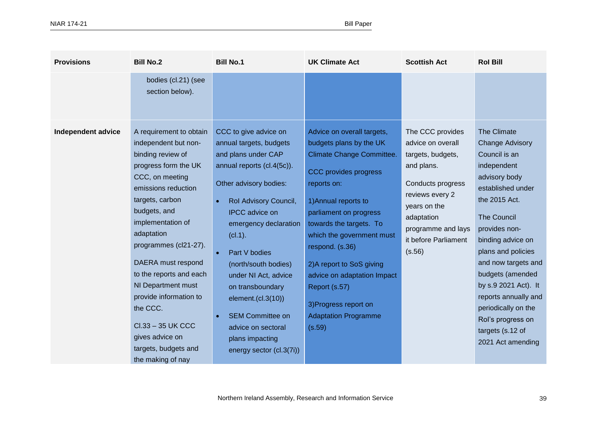| <b>Provisions</b>  | <b>Bill No.2</b>                                                                                                                                                                                                                                                                                                                                                                                                                        | <b>Bill No.1</b>                                                                                                                                                                                                                                                                                                                                                                                                                              | <b>UK Climate Act</b>                                                                                                                                                                                                                                                                                                                                                                                         | <b>Scottish Act</b>                                                                                                                                                                                    | <b>Rol Bill</b>                                                                                                                                                                                                                                                                                                                                                                                |
|--------------------|-----------------------------------------------------------------------------------------------------------------------------------------------------------------------------------------------------------------------------------------------------------------------------------------------------------------------------------------------------------------------------------------------------------------------------------------|-----------------------------------------------------------------------------------------------------------------------------------------------------------------------------------------------------------------------------------------------------------------------------------------------------------------------------------------------------------------------------------------------------------------------------------------------|---------------------------------------------------------------------------------------------------------------------------------------------------------------------------------------------------------------------------------------------------------------------------------------------------------------------------------------------------------------------------------------------------------------|--------------------------------------------------------------------------------------------------------------------------------------------------------------------------------------------------------|------------------------------------------------------------------------------------------------------------------------------------------------------------------------------------------------------------------------------------------------------------------------------------------------------------------------------------------------------------------------------------------------|
|                    | bodies (cl.21) (see<br>section below).                                                                                                                                                                                                                                                                                                                                                                                                  |                                                                                                                                                                                                                                                                                                                                                                                                                                               |                                                                                                                                                                                                                                                                                                                                                                                                               |                                                                                                                                                                                                        |                                                                                                                                                                                                                                                                                                                                                                                                |
| Independent advice | A requirement to obtain<br>independent but non-<br>binding review of<br>progress form the UK<br>CCC, on meeting<br>emissions reduction<br>targets, carbon<br>budgets, and<br>implementation of<br>adaptation<br>programmes (cl21-27).<br>DAERA must respond<br>to the reports and each<br>NI Department must<br>provide information to<br>the CCC.<br>Cl.33 - 35 UK CCC<br>gives advice on<br>targets, budgets and<br>the making of nay | CCC to give advice on<br>annual targets, budgets<br>and plans under CAP<br>annual reports (cl.4(5c)).<br>Other advisory bodies:<br>Rol Advisory Council,<br>$\bullet$<br><b>IPCC</b> advice on<br>emergency declaration<br>(cl.1).<br>Part V bodies<br>(north/south bodies)<br>under NI Act, advice<br>on transboundary<br>element.(cl.3(10))<br><b>SEM Committee on</b><br>advice on sectoral<br>plans impacting<br>energy sector (cl.3(7i)) | Advice on overall targets,<br>budgets plans by the UK<br><b>Climate Change Committee.</b><br>CCC provides progress<br>reports on:<br>1) Annual reports to<br>parliament on progress<br>towards the targets. To<br>which the government must<br>respond. (s.36)<br>2) A report to SoS giving<br>advice on adaptation Impact<br>Report (s.57)<br>3) Progress report on<br><b>Adaptation Programme</b><br>(s.59) | The CCC provides<br>advice on overall<br>targets, budgets,<br>and plans.<br>Conducts progress<br>reviews every 2<br>years on the<br>adaptation<br>programme and lays<br>it before Parliament<br>(s.56) | The Climate<br><b>Change Advisory</b><br>Council is an<br>independent<br>advisory body<br>established under<br>the 2015 Act.<br><b>The Council</b><br>provides non-<br>binding advice on<br>plans and policies<br>and now targets and<br>budgets (amended<br>by s.9 2021 Act). It<br>reports annually and<br>periodically on the<br>Rol's progress on<br>targets (s.12 of<br>2021 Act amending |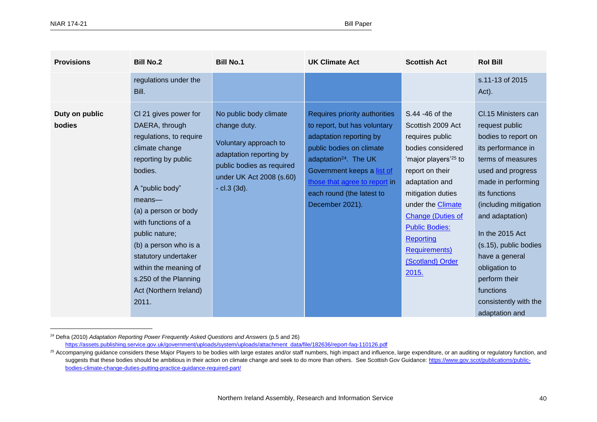| <b>Provisions</b>        | <b>Bill No.2</b>                                                                                                                                                                                                                                                                                                                                              | <b>Bill No.1</b>                                                                                                                                                    | <b>UK Climate Act</b>                                                                                                                                                                                                                                                    | <b>Scottish Act</b>                                                                                                                                                                                                                                                                                                                  | <b>Rol Bill</b>                                                                                                                                                                                                                                                                                                                                                         |
|--------------------------|---------------------------------------------------------------------------------------------------------------------------------------------------------------------------------------------------------------------------------------------------------------------------------------------------------------------------------------------------------------|---------------------------------------------------------------------------------------------------------------------------------------------------------------------|--------------------------------------------------------------------------------------------------------------------------------------------------------------------------------------------------------------------------------------------------------------------------|--------------------------------------------------------------------------------------------------------------------------------------------------------------------------------------------------------------------------------------------------------------------------------------------------------------------------------------|-------------------------------------------------------------------------------------------------------------------------------------------------------------------------------------------------------------------------------------------------------------------------------------------------------------------------------------------------------------------------|
|                          | regulations under the<br>Bill.                                                                                                                                                                                                                                                                                                                                |                                                                                                                                                                     |                                                                                                                                                                                                                                                                          |                                                                                                                                                                                                                                                                                                                                      | s.11-13 of 2015<br>Act).                                                                                                                                                                                                                                                                                                                                                |
| Duty on public<br>bodies | CI 21 gives power for<br>DAERA, through<br>regulations, to require<br>climate change<br>reporting by public<br>bodies.<br>A "public body"<br>$means$ —<br>(a) a person or body<br>with functions of a<br>public nature;<br>(b) a person who is a<br>statutory undertaker<br>within the meaning of<br>s.250 of the Planning<br>Act (Northern Ireland)<br>2011. | No public body climate<br>change duty.<br>Voluntary approach to<br>adaptation reporting by<br>public bodies as required<br>under UK Act 2008 (s.60)<br>- cl.3 (3d). | Requires priority authorities<br>to report, but has voluntary<br>adaptation reporting by<br>public bodies on climate<br>adaptation <sup>24</sup> . The UK<br>Government keeps a list of<br>those that agree to report in<br>each round (the latest to<br>December 2021). | S.44 -46 of the<br>Scottish 2009 Act<br>requires public<br>bodies considered<br>'major players' <sup>25</sup> to<br>report on their<br>adaptation and<br>mitigation duties<br>under the <b>Climate</b><br><b>Change (Duties of</b><br><b>Public Bodies:</b><br><b>Reporting</b><br><b>Requirements)</b><br>(Scotland) Order<br>2015. | Cl.15 Ministers can<br>request public<br>bodies to report on<br>its performance in<br>terms of measures<br>used and progress<br>made in performing<br>its functions<br>(including mitigation<br>and adaptation)<br>In the 2015 Act<br>(s.15), public bodies<br>have a general<br>obligation to<br>perform their<br>functions<br>consistently with the<br>adaptation and |

<sup>24</sup> Defra (2010) *Adaptation Reporting Power Frequently Asked Questions and Answers* (p.5 and 26)

[https://assets.publishing.service.gov.uk/government/uploads/system/uploads/attachment\\_data/file/182636/report-faq-110126.pdf](https://assets.publishing.service.gov.uk/government/uploads/system/uploads/attachment_data/file/182636/report-faq-110126.pdf)

<sup>&</sup>lt;sup>25</sup> Accompanying guidance considers these Major Players to be bodies with large estates and/or staff numbers, high impact and influence, large expenditure, or an auditing or regulatory function, and suggests that these bodies should be ambitious in their action on climate change and seek to do more than others. See Scottish Gov Guidance[: https://www.gov.scot/publications/public](https://www.gov.scot/publications/public-bodies-climate-change-duties-putting-practice-guidance-required-part/)[bodies-climate-change-duties-putting-practice-guidance-required-part/](https://www.gov.scot/publications/public-bodies-climate-change-duties-putting-practice-guidance-required-part/)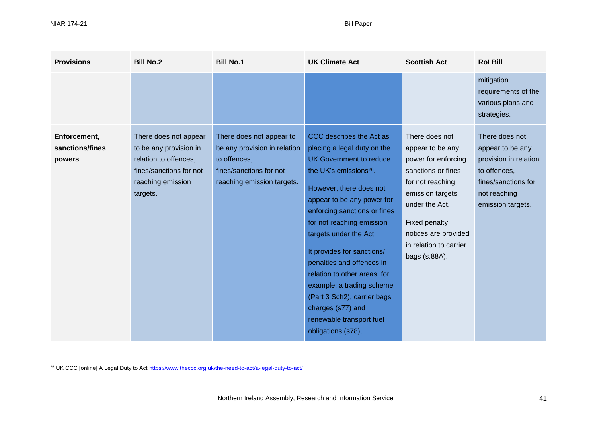| <b>Provisions</b>                         | <b>Bill No.2</b>                                                                                                                     | <b>Bill No.1</b>                                                                                                                  | <b>UK Climate Act</b>                                                                                                                                                                                                                                                                                                                                                                                                                                                                                  | <b>Scottish Act</b>                                                                                                                                                                                                           | <b>Rol Bill</b>                                                                                                                         |
|-------------------------------------------|--------------------------------------------------------------------------------------------------------------------------------------|-----------------------------------------------------------------------------------------------------------------------------------|--------------------------------------------------------------------------------------------------------------------------------------------------------------------------------------------------------------------------------------------------------------------------------------------------------------------------------------------------------------------------------------------------------------------------------------------------------------------------------------------------------|-------------------------------------------------------------------------------------------------------------------------------------------------------------------------------------------------------------------------------|-----------------------------------------------------------------------------------------------------------------------------------------|
|                                           |                                                                                                                                      |                                                                                                                                   |                                                                                                                                                                                                                                                                                                                                                                                                                                                                                                        |                                                                                                                                                                                                                               | mitigation<br>requirements of the<br>various plans and<br>strategies.                                                                   |
| Enforcement,<br>sanctions/fines<br>powers | There does not appear<br>to be any provision in<br>relation to offences,<br>fines/sanctions for not<br>reaching emission<br>targets. | There does not appear to<br>be any provision in relation<br>to offences,<br>fines/sanctions for not<br>reaching emission targets. | CCC describes the Act as<br>placing a legal duty on the<br>UK Government to reduce<br>the UK's emissions <sup>26</sup> .<br>However, there does not<br>appear to be any power for<br>enforcing sanctions or fines<br>for not reaching emission<br>targets under the Act.<br>It provides for sanctions/<br>penalties and offences in<br>relation to other areas, for<br>example: a trading scheme<br>(Part 3 Sch2), carrier bags<br>charges (s77) and<br>renewable transport fuel<br>obligations (s78), | There does not<br>appear to be any<br>power for enforcing<br>sanctions or fines<br>for not reaching<br>emission targets<br>under the Act.<br>Fixed penalty<br>notices are provided<br>in relation to carrier<br>bags (s.88A). | There does not<br>appear to be any<br>provision in relation<br>to offences,<br>fines/sanctions for<br>not reaching<br>emission targets. |

<sup>&</sup>lt;sup>26</sup> UK CCC [online] A Legal Duty to Ac[t https://www.theccc.org.uk/the-need-to-act/a-legal-duty-to-act/](https://www.theccc.org.uk/the-need-to-act/a-legal-duty-to-act/)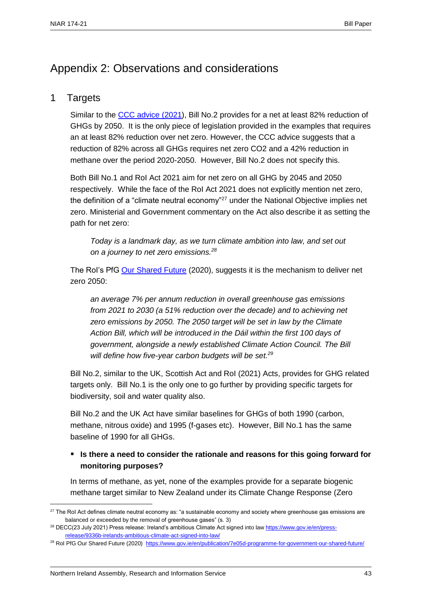### Appendix 2: Observations and considerations

#### 1 Targets

Similar to the [CCC advice](https://www.theccc.org.uk/publication/letter-economic-costs-of-setting-and-delivering-a-2050-emissions-target-for-northern-ireland/) (2021), Bill No.2 provides for a net at least 82% reduction of GHGs by 2050. It is the only piece of legislation provided in the examples that requires an at least 82% reduction over net zero. However, the CCC advice suggests that a reduction of 82% across all GHGs requires net zero CO2 and a 42% reduction in methane over the period 2020-2050. However, Bill No.2 does not specify this.

Both Bill No.1 and RoI Act 2021 aim for net zero on all GHG by 2045 and 2050 respectively. While the face of the RoI Act 2021 does not explicitly mention net zero, the definition of a "climate neutral economy"<sup>27</sup> under the National Objective implies net zero. Ministerial and Government commentary on the Act also describe it as setting the path for net zero:

*Today is a landmark day, as we turn climate ambition into law, and set out on a journey to net zero emissions.<sup>28</sup>*

The Rol's PfG [Our Shared Future](https://www.gov.ie/en/publication/7e05d-programme-for-government-our-shared-future/) (2020), suggests it is the mechanism to deliver net zero 2050:

*an average 7% per annum reduction in overall greenhouse gas emissions from 2021 to 2030 (a 51% reduction over the decade) and to achieving net zero emissions by 2050. The 2050 target will be set in law by the Climate Action Bill, which will be introduced in the Dáil within the first 100 days of government, alongside a newly established Climate Action Council. The Bill will define how five-year carbon budgets will be set.<sup>29</sup>*

Bill No.2, similar to the UK, Scottish Act and RoI (2021) Acts, provides for GHG related targets only. Bill No.1 is the only one to go further by providing specific targets for biodiversity, soil and water quality also.

Bill No.2 and the UK Act have similar baselines for GHGs of both 1990 (carbon, methane, nitrous oxide) and 1995 (f-gases etc). However, Bill No.1 has the same baseline of 1990 for all GHGs.

#### ▪ **Is there a need to consider the rationale and reasons for this going forward for monitoring purposes?**

In terms of methane, as yet, none of the examples provide for a separate biogenic methane target similar to New Zealand under its [Climate Change Response \(Zero](https://www.legislation.govt.nz/act/public/2019/0061/latest/LMS183736.html) 

 $27$  The RoI Act defines climate neutral economy as: "a sustainable economy and society where greenhouse gas emissions are balanced or exceeded by the removal of greenhouse gases" (s. 3)

<sup>&</sup>lt;sup>28</sup> DECC(23 July 2021) Press release: Ireland's ambitious Climate Act signed into law [https://www.gov.ie/en/press](https://www.gov.ie/en/press-release/9336b-irelands-ambitious-climate-act-signed-into-law/)[release/9336b-irelands-ambitious-climate-act-signed-into-law/](https://www.gov.ie/en/press-release/9336b-irelands-ambitious-climate-act-signed-into-law/)

<sup>&</sup>lt;sup>29</sup> Rol PfG Our Shared Future (2020) <https://www.gov.ie/en/publication/7e05d-programme-for-government-our-shared-future/>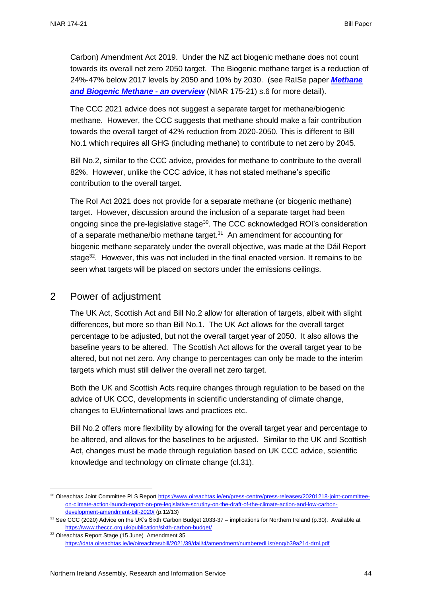[Carbon\) Amendment Act 2019.](https://www.legislation.govt.nz/act/public/2019/0061/latest/LMS183736.html) Under the NZ act biogenic methane does not count towards its overall net zero 2050 target. The Biogenic methane target is a reduction of 24%-47% below 2017 levels by 2050 and 10% by 2030. (see RaISe paper *[Methane](http://www.niassembly.gov.uk/globalassets/documents/raise/publications/2017-2022/2021/aera/17521.pdf)  [and Biogenic Methane -](http://www.niassembly.gov.uk/globalassets/documents/raise/publications/2017-2022/2021/aera/17521.pdf) an overview* (NIAR 175-21) s.6 for more detail).

The [CCC 2021 advice](https://www.theccc.org.uk/publication/letter-economic-costs-of-setting-and-delivering-a-2050-emissions-target-for-northern-ireland/) does not suggest a separate target for methane/biogenic methane. However, the CCC suggests that methane should make a fair contribution towards the overall target of 42% reduction from 2020-2050. This is different to Bill No.1 which requires all GHG (including methane) to contribute to net zero by 2045.

Bill No.2, similar to the CCC advice, provides for methane to contribute to the overall 82%. However, unlike the CCC advice, it has not stated methane's specific contribution to the overall target.

The RoI Act 2021 does not provide for a separate methane (or biogenic methane) target. However, discussion around the inclusion of a separate target had been ongoing since the pre-legislative stage<sup>30</sup>. The CCC acknowledged ROI's consideration of a separate methane/bio methane target.<sup>31</sup> An amendment for accounting for biogenic methane separately under the overall objective, was made at the Dáil Report stage<sup>32</sup>. However, this was not included in the final enacted version. It remains to be seen what targets will be placed on sectors under the emissions ceilings.

#### 2 Power of adjustment

 $\overline{a}$ 

The UK Act, Scottish Act and Bill No.2 allow for alteration of targets, albeit with slight differences, but more so than Bill No.1. The UK Act allows for the overall target percentage to be adjusted, but not the overall target year of 2050. It also allows the baseline years to be altered. The Scottish Act allows for the overall target year to be altered, but not net zero. Any change to percentages can only be made to the interim targets which must still deliver the overall net zero target.

Both the UK and Scottish Acts require changes through regulation to be based on the advice of UK CCC, developments in scientific understanding of climate change, changes to EU/international laws and practices etc.

Bill No.2 offers more flexibility by allowing for the overall target year and percentage to be altered, and allows for the baselines to be adjusted. Similar to the UK and Scottish Act, changes must be made through regulation based on UK CCC advice, scientific knowledge and technology on climate change (cl.31).

<sup>30</sup> Oireachtas Joint Committee PLS Report [https://www.oireachtas.ie/en/press-centre/press-releases/20201218-joint-committee](https://www.oireachtas.ie/en/press-centre/press-releases/20201218-joint-committee-on-climate-action-launch-report-on-pre-legislative-scrutiny-on-the-draft-of-the-climate-action-and-low-carbon-development-amendment-bill-2020/)[on-climate-action-launch-report-on-pre-legislative-scrutiny-on-the-draft-of-the-climate-action-and-low-carbon](https://www.oireachtas.ie/en/press-centre/press-releases/20201218-joint-committee-on-climate-action-launch-report-on-pre-legislative-scrutiny-on-the-draft-of-the-climate-action-and-low-carbon-development-amendment-bill-2020/)[development-amendment-bill-2020/](https://www.oireachtas.ie/en/press-centre/press-releases/20201218-joint-committee-on-climate-action-launch-report-on-pre-legislative-scrutiny-on-the-draft-of-the-climate-action-and-low-carbon-development-amendment-bill-2020/) (p.12/13)

<sup>31</sup> See CCC (2020) Advice on the UK's Sixth Carbon Budget 2033-37 – implications for Northern Ireland (p.30). Available at <https://www.theccc.org.uk/publication/sixth-carbon-budget/>

<sup>32</sup> Oireachtas Report Stage (15 June) Amendment 35 <https://data.oireachtas.ie/ie/oireachtas/bill/2021/39/dail/4/amendment/numberedList/eng/b39a21d-drnl.pdf>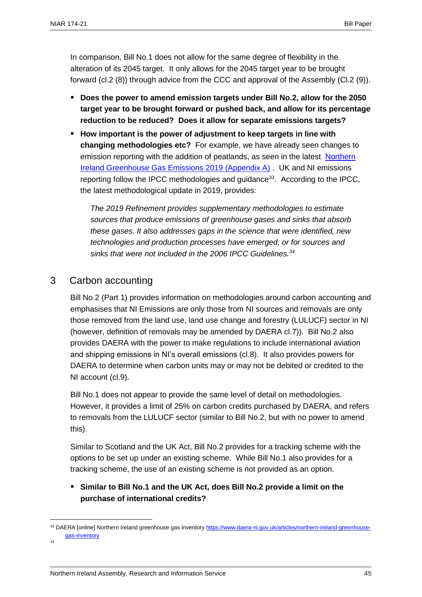In comparison, Bill No.1 does not allow for the same degree of flexibility in the alteration of its 2045 target. It only allows for the 2045 target year to be brought forward (cl.2 (8)) through advice from the CCC and approval of the Assembly (Cl.2 (9)).

- **Does the power to amend emission targets under Bill No.2, allow for the 2050 target year to be brought forward or pushed back, and allow for its percentage reduction to be reduced? Does it allow for separate emissions targets?**
- How important is the power of adjustment to keep targets in line with **changing methodologies etc?** For example, we have already seen changes to emission reporting with the addition of peatlands, as seen in the latest [Northern](https://www.daera-ni.gov.uk/publications/northern-ireland-greenhouse-gas-inventory-1990-2019-statistical-bulletin)  [Ireland Greenhouse Gas Emissions 2019 \(Appendix A\)](https://www.daera-ni.gov.uk/publications/northern-ireland-greenhouse-gas-inventory-1990-2019-statistical-bulletin) . UK and NI emissions reporting follow the IPCC methodologies and guidance<sup>33</sup>. According to the IPCC, the latest methodological update in 2019, provides:

*The 2019 Refinement provides supplementary methodologies to estimate sources that produce emissions of greenhouse gases and sinks that absorb these gases. It also addresses gaps in the science that were identified, new technologies and production processes have emerged, or for sources and sinks that were not included in the 2006 IPCC Guidelines. 34*

### 3 Carbon accounting

Bill No.2 (Part 1) provides information on methodologies around carbon accounting and emphasises that NI Emissions are only those from NI sources and removals are only those removed from the land use, land use change and forestry (LULUCF) sector in NI (however, definition of removals may be amended by DAERA cl.7)). Bill No.2 also provides DAERA with the power to make regulations to include international aviation and shipping emissions in NI's overall emissions (cl.8). It also provides powers for DAERA to determine when carbon units may or may not be debited or credited to the NI account (cl.9).

Bill No.1 does not appear to provide the same level of detail on methodologies. However, it provides a limit of 25% on carbon credits purchased by DAERA, and refers to removals from the LULUCF sector (similar to Bill No.2, but with no power to amend this).

Similar to Scotland and the UK Act, Bill No.2 provides for a tracking scheme with the options to be set up under an existing scheme. While Bill No.1 also provides for a tracking scheme, the use of an existing scheme is not provided as an option.

#### ▪ **Similar to Bill No.1 and the UK Act, does Bill No.2 provide a limit on the purchase of international credits?**

34

<sup>33</sup> DAERA [online] Northern Ireland greenhouse gas inventory [https://www.daera-ni.gov.uk/articles/northern-ireland-greenhouse](https://www.daera-ni.gov.uk/articles/northern-ireland-greenhouse-gas-inventory)[gas-inventory](https://www.daera-ni.gov.uk/articles/northern-ireland-greenhouse-gas-inventory)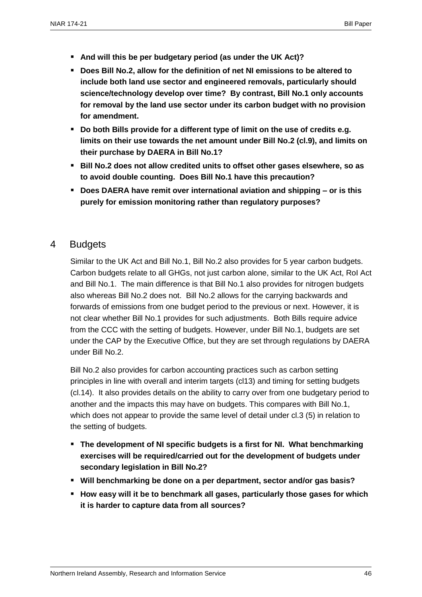- **And will this be per budgetary period (as under the UK Act)?**
- Does Bill No.2, allow for the definition of net NI emissions to be altered to **include both land use sector and engineered removals, particularly should science/technology develop over time? By contrast, Bill No.1 only accounts for removal by the land use sector under its carbon budget with no provision for amendment.**
- Do both Bills provide for a different type of limit on the use of credits e.g. **limits on their use towards the net amount under Bill No.2 (cl.9), and limits on their purchase by DAERA in Bill No.1?**
- Bill No.2 does not allow credited units to offset other gases elsewhere, so as **to avoid double counting. Does Bill No.1 have this precaution?**
- **Does DAERA have remit over international aviation and shipping or is this purely for emission monitoring rather than regulatory purposes?**

#### 4 Budgets

Similar to the UK Act and Bill No.1, Bill No.2 also provides for 5 year carbon budgets. Carbon budgets relate to all GHGs, not just carbon alone, similar to the UK Act, RoI Act and Bill No.1. The main difference is that Bill No.1 also provides for nitrogen budgets also whereas Bill No.2 does not. Bill No.2 allows for the carrying backwards and forwards of emissions from one budget period to the previous or next. However, it is not clear whether Bill No.1 provides for such adjustments. Both Bills require advice from the CCC with the setting of budgets. However, under Bill No.1, budgets are set under the CAP by the Executive Office, but they are set through regulations by DAERA under Bill No.2.

Bill No.2 also provides for carbon accounting practices such as carbon setting principles in line with overall and interim targets (cl13) and timing for setting budgets (cl.14). It also provides details on the ability to carry over from one budgetary period to another and the impacts this may have on budgets. This compares with Bill No.1, which does not appear to provide the same level of detail under cl.3 (5) in relation to the setting of budgets.

- **The development of NI specific budgets is a first for NI. What benchmarking exercises will be required/carried out for the development of budgets under secondary legislation in Bill No.2?**
- **Will benchmarking be done on a per department, sector and/or gas basis?**
- How easy will it be to benchmark all gases, particularly those gases for which **it is harder to capture data from all sources?**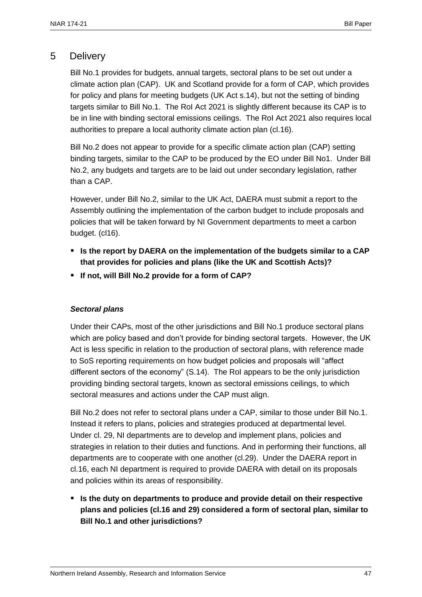#### 5 Delivery

Bill No.1 provides for budgets, annual targets, sectoral plans to be set out under a climate action plan (CAP). UK and Scotland provide for a form of CAP, which provides for policy and plans for meeting budgets (UK Act s.14), but not the setting of binding targets similar to Bill No.1. The RoI Act 2021 is slightly different because its CAP is to be in line with binding sectoral emissions ceilings. The RoI Act 2021 also requires local authorities to prepare a local authority climate action plan (cl.16).

Bill No.2 does not appear to provide for a specific climate action plan (CAP) setting binding targets, similar to the CAP to be produced by the EO under Bill No1. Under Bill No.2, any budgets and targets are to be laid out under secondary legislation, rather than a CAP.

However, under Bill No.2, similar to the UK Act, DAERA must submit a report to the Assembly outlining the implementation of the carbon budget to include proposals and policies that will be taken forward by NI Government departments to meet a carbon budget. (cl16).

- **Is the report by DAERA on the implementation of the budgets similar to a CAP that provides for policies and plans (like the UK and Scottish Acts)?**
- **If not, will Bill No.2 provide for a form of CAP?**

#### *Sectoral plans*

Under their CAPs, most of the other jurisdictions and Bill No.1 produce sectoral plans which are policy based and don't provide for binding sectoral targets. However, the UK Act is less specific in relation to the production of sectoral plans, with reference made to SoS reporting requirements on how budget policies and proposals will "affect different sectors of the economy" (S.14). The RoI appears to be the only jurisdiction providing binding sectoral targets, known as sectoral emissions ceilings, to which sectoral measures and actions under the CAP must align.

Bill No.2 does not refer to sectoral plans under a CAP, similar to those under Bill No.1. Instead it refers to plans, policies and strategies produced at departmental level. Under cl. 29, NI departments are to develop and implement plans, policies and strategies in relation to their duties and functions. And in performing their functions, all departments are to cooperate with one another (cl.29). Under the DAERA report in cl.16, each NI department is required to provide DAERA with detail on its proposals and policies within its areas of responsibility.

■ Is the duty on departments to produce and provide detail on their respective **plans and policies (cl.16 and 29) considered a form of sectoral plan, similar to Bill No.1 and other jurisdictions?**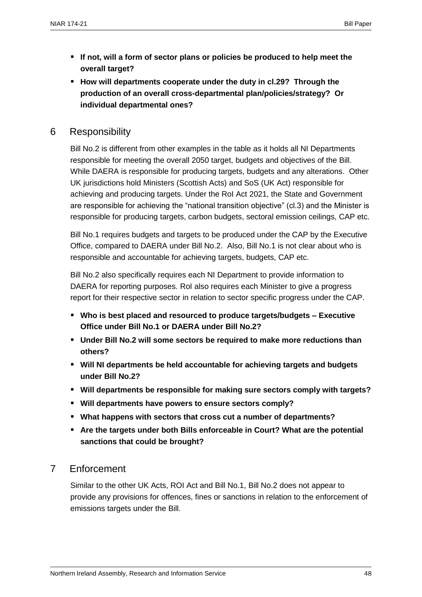- **If not, will a form of sector plans or policies be produced to help meet the overall target?**
- **How will departments cooperate under the duty in cl.29? Through the production of an overall cross-departmental plan/policies/strategy? Or individual departmental ones?**

#### 6 Responsibility

Bill No.2 is different from other examples in the table as it holds all NI Departments responsible for meeting the overall 2050 target, budgets and objectives of the Bill. While DAERA is responsible for producing targets, budgets and any alterations. Other UK jurisdictions hold Ministers (Scottish Acts) and SoS (UK Act) responsible for achieving and producing targets. Under the RoI Act 2021, the State and Government are responsible for achieving the "national transition objective" (cl.3) and the Minister is responsible for producing targets, carbon budgets, sectoral emission ceilings, CAP etc.

Bill No.1 requires budgets and targets to be produced under the CAP by the Executive Office, compared to DAERA under Bill No.2. Also, Bill No.1 is not clear about who is responsible and accountable for achieving targets, budgets, CAP etc.

Bill No.2 also specifically requires each NI Department to provide information to DAERA for reporting purposes. RoI also requires each Minister to give a progress report for their respective sector in relation to sector specific progress under the CAP.

- **Who is best placed and resourced to produce targets/budgets – Executive Office under Bill No.1 or DAERA under Bill No.2?**
- **Under Bill No.2 will some sectors be required to make more reductions than others?**
- **Will NI departments be held accountable for achieving targets and budgets under Bill No.2?**
- **Will departments be responsible for making sure sectors comply with targets?**
- **Will departments have powers to ensure sectors comply?**
- **What happens with sectors that cross cut a number of departments?**
- **Are the targets under both Bills enforceable in Court? What are the potential sanctions that could be brought?**

#### 7 Enforcement

Similar to the other UK Acts, ROI Act and Bill No.1, Bill No.2 does not appear to provide any provisions for offences, fines or sanctions in relation to the enforcement of emissions targets under the Bill.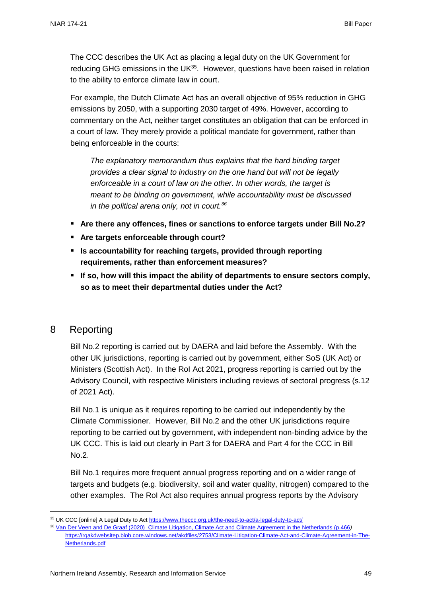The CCC describes the UK Act as placing a legal duty on the UK Government for reducing GHG emissions in the UK<sup>35</sup>. However, questions have been raised in relation to the ability to enforce climate law in court.

For example, the Dutch Climate Act has an overall objective of 95% reduction in GHG emissions by 2050, with a supporting 2030 target of 49%. However, according to commentary on the Act, neither target constitutes an obligation that can be enforced in a court of law. They merely provide a political mandate for government, rather than being enforceable in the courts:

*The explanatory memorandum thus explains that the hard binding target provides a clear signal to industry on the one hand but will not be legally enforceable in a court of law on the other. In other words, the target is meant to be binding on government, while accountability must be discussed in the political arena only, not in court.<sup>36</sup>*

- **Are there any offences, fines or sanctions to enforce targets under Bill No.2?**
- **Are targets enforceable through court?**
- **Is accountability for reaching targets, provided through reporting requirements, rather than enforcement measures?**
- If so, how will this impact the ability of departments to ensure sectors comply, **so as to meet their departmental duties under the Act?**

#### 8 Reporting

 $\overline{a}$ 

Bill No.2 reporting is carried out by DAERA and laid before the Assembly. With the other UK jurisdictions, reporting is carried out by government, either SoS (UK Act) or Ministers (Scottish Act). In the RoI Act 2021, progress reporting is carried out by the Advisory Council, with respective Ministers including reviews of sectoral progress (s.12 of 2021 Act).

Bill No.1 is unique as it requires reporting to be carried out independently by the Climate Commissioner. However, Bill No.2 and the other UK jurisdictions require reporting to be carried out by government, with independent non-binding advice by the UK CCC. This is laid out clearly in Part 3 for DAERA and Part 4 for the CCC in Bill No.2.

Bill No.1 requires more frequent annual progress reporting and on a wider range of targets and budgets (e.g. biodiversity, soil and water quality, nitrogen) compared to the other examples. The RoI Act also requires annual progress reports by the Advisory

<sup>35</sup> UK CCC [online] A Legal Duty to Ac[t https://www.theccc.org.uk/the-need-to-act/a-legal-duty-to-act/](https://www.theccc.org.uk/the-need-to-act/a-legal-duty-to-act/)

<sup>36</sup> [Van Der Veen and De Graaf \(2020\) Climate Litigation, Climate Act and Climate Agreement in the Netherlands \(p.466](file:///C:/Users/caves/AppData/Local/Microsoft/Windows/INetCache/Content.Outlook/O4R90V75/Van%20Der%20Veen%20and%20De%20Graaf%20(2020)%20%20p.466)*)* [https://rgakdwebsitep.blob.core.windows.net/akdfiles/2753/Climate-Litigation-Climate-Act-and-Climate-Agreement-in-The-](https://rgakdwebsitep.blob.core.windows.net/akdfiles/2753/Climate-Litigation-Climate-Act-and-Climate-Agreement-in-The-Netherlands.pdf)[Netherlands.pdf](https://rgakdwebsitep.blob.core.windows.net/akdfiles/2753/Climate-Litigation-Climate-Act-and-Climate-Agreement-in-The-Netherlands.pdf)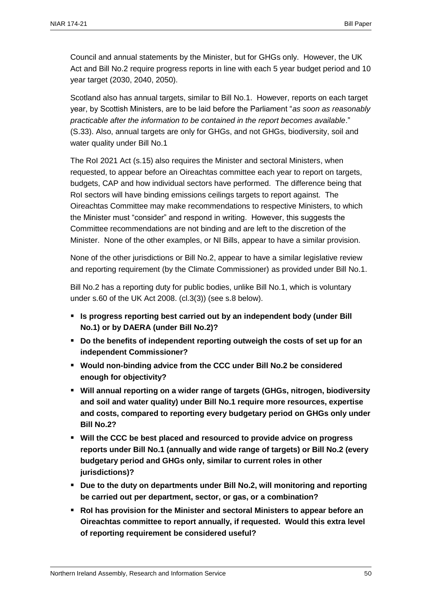Council and annual statements by the Minister, but for GHGs only. However, the UK Act and Bill No.2 require progress reports in line with each 5 year budget period and 10 year target (2030, 2040, 2050).

Scotland also has annual targets, similar to Bill No.1. However, reports on each target year, by Scottish Ministers, are to be laid before the Parliament "*as soon as reasonably practicable after the information to be contained in the report becomes available*." (S.33). Also, annual targets are only for GHGs, and not GHGs, biodiversity, soil and water quality under Bill No.1

The RoI 2021 Act (s.15) also requires the Minister and sectoral Ministers, when requested, to appear before an Oireachtas committee each year to report on targets, budgets, CAP and how individual sectors have performed. The difference being that RoI sectors will have binding emissions ceilings targets to report against. The Oireachtas Committee may make recommendations to respective Ministers, to which the Minister must "consider" and respond in writing. However, this suggests the Committee recommendations are not binding and are left to the discretion of the Minister. None of the other examples, or NI Bills, appear to have a similar provision.

None of the other jurisdictions or Bill No.2, appear to have a similar legislative review and reporting requirement (by the Climate Commissioner) as provided under Bill No.1.

Bill No.2 has a reporting duty for public bodies, unlike Bill No.1, which is voluntary under s.60 of the UK Act 2008. (cl.3(3)) (see s.8 below).

- **Is progress reporting best carried out by an independent body (under Bill No.1) or by DAERA (under Bill No.2)?**
- Do the benefits of independent reporting outweigh the costs of set up for an **independent Commissioner?**
- **Would non-binding advice from the CCC under Bill No.2 be considered enough for objectivity?**
- **Will annual reporting on a wider range of targets (GHGs, nitrogen, biodiversity and soil and water quality) under Bill No.1 require more resources, expertise and costs, compared to reporting every budgetary period on GHGs only under Bill No.2?**
- **Will the CCC be best placed and resourced to provide advice on progress reports under Bill No.1 (annually and wide range of targets) or Bill No.2 (every budgetary period and GHGs only, similar to current roles in other jurisdictions)?**
- **Due to the duty on departments under Bill No.2, will monitoring and reporting be carried out per department, sector, or gas, or a combination?**
- **RoI has provision for the Minister and sectoral Ministers to appear before an Oireachtas committee to report annually, if requested. Would this extra level of reporting requirement be considered useful?**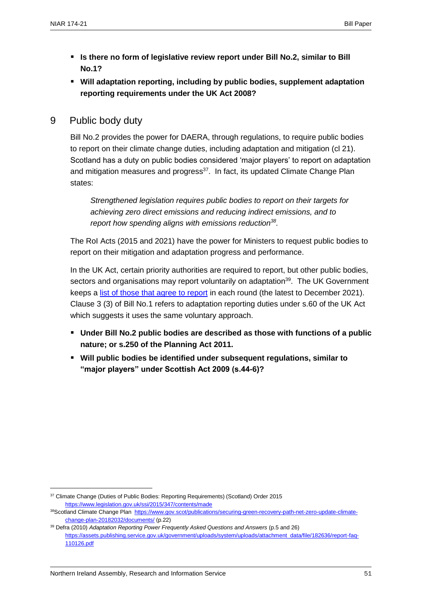- **Is there no form of legislative review report under Bill No.2, similar to Bill No.1?**
- **Will adaptation reporting, including by public bodies, supplement adaptation reporting requirements under the UK Act 2008?**
- 9 Public body duty

Bill No.2 provides the power for DAERA, through regulations, to require public bodies to report on their climate change duties, including adaptation and mitigation (cl 21). Scotland has a duty on public bodies considered 'major players' to report on adaptation and mitigation measures and progress<sup>37</sup>. In fact, its updated Climate Change Plan states:

*Strengthened legislation requires public bodies to report on their targets for achieving zero direct emissions and reducing indirect emissions, and to report how spending aligns with emissions reduction<sup>38</sup> .*

The RoI Acts (2015 and 2021) have the power for Ministers to request public bodies to report on their mitigation and adaptation progress and performance.

In the UK Act, certain priority authorities are required to report, but other public bodies, sectors and organisations may report voluntarily on adaptation<sup>39</sup>. The UK Government keeps a [list of those that agree to report](https://www.gov.uk/government/publications/climate-change-adaptation-reporting-third-round) in each round (the latest to December 2021). Clause 3 (3) of Bill No.1 refers to adaptation reporting duties under s.60 of the UK Act which suggests it uses the same voluntary approach.

- **Under Bill No.2 public bodies are described as those with functions of a public nature; or s.250 of the Planning Act 2011.**
- **Will public bodies be identified under subsequent regulations, similar to "major players" under Scottish Act 2009 (s.44-6)?**

<sup>&</sup>lt;sup>37</sup> Climate Change (Duties of Public Bodies: Reporting Requirements) (Scotland) Order 2015 <https://www.legislation.gov.uk/ssi/2015/347/contents/made>

<sup>38</sup>Scotland Climate Change Plan [https://www.gov.scot/publications/securing-green-recovery-path-net-zero-update-climate](https://www.gov.scot/publications/securing-green-recovery-path-net-zero-update-climate-change-plan-20182032/documents/)[change-plan-20182032/documents/](https://www.gov.scot/publications/securing-green-recovery-path-net-zero-update-climate-change-plan-20182032/documents/) (p.22)

<sup>39</sup> Defra (2010) *Adaptation Reporting Power Frequently Asked Questions and Answers* (p.5 and 26) [https://assets.publishing.service.gov.uk/government/uploads/system/uploads/attachment\\_data/file/182636/report-faq-](https://assets.publishing.service.gov.uk/government/uploads/system/uploads/attachment_data/file/182636/report-faq-110126.pdf)[110126.pdf](https://assets.publishing.service.gov.uk/government/uploads/system/uploads/attachment_data/file/182636/report-faq-110126.pdf)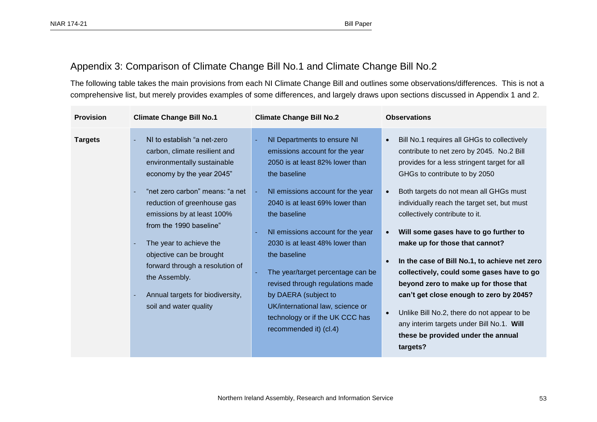#### Appendix 3: Comparison of Climate Change Bill No.1 and Climate Change Bill No.2

The following table takes the main provisions from each NI Climate Change Bill and outlines some observations/differences. This is not a comprehensive list, but merely provides examples of some differences, and largely draws upon sections discussed in Appendix 1 and 2.

<span id="page-54-0"></span>

| <b>Provision</b> | <b>Climate Change Bill No.1</b>                                                                                                                                                                                                                                                                                                                                                                                              | <b>Climate Change Bill No.2</b>                                                                                                                                                                                                                                                                                                                                                                                                                                                                    | <b>Observations</b>                                                                                                                                                                                                                                                                                                                                                                                                                                                                                                                                                                                                                                                                                             |
|------------------|------------------------------------------------------------------------------------------------------------------------------------------------------------------------------------------------------------------------------------------------------------------------------------------------------------------------------------------------------------------------------------------------------------------------------|----------------------------------------------------------------------------------------------------------------------------------------------------------------------------------------------------------------------------------------------------------------------------------------------------------------------------------------------------------------------------------------------------------------------------------------------------------------------------------------------------|-----------------------------------------------------------------------------------------------------------------------------------------------------------------------------------------------------------------------------------------------------------------------------------------------------------------------------------------------------------------------------------------------------------------------------------------------------------------------------------------------------------------------------------------------------------------------------------------------------------------------------------------------------------------------------------------------------------------|
| <b>Targets</b>   | NI to establish "a net-zero<br>carbon, climate resilient and<br>environmentally sustainable<br>economy by the year 2045"<br>"net zero carbon" means: "a net<br>reduction of greenhouse gas<br>emissions by at least 100%<br>from the 1990 baseline"<br>The year to achieve the<br>objective can be brought<br>forward through a resolution of<br>the Assembly.<br>Annual targets for biodiversity,<br>soil and water quality | NI Departments to ensure NI<br>emissions account for the year<br>2050 is at least 82% lower than<br>the baseline<br>NI emissions account for the year<br>2040 is at least 69% lower than<br>the baseline<br>NI emissions account for the year<br>2030 is at least 48% lower than<br>the baseline<br>The year/target percentage can be<br>revised through regulations made<br>by DAERA (subject to<br>UK/international law, science or<br>technology or if the UK CCC has<br>recommended it) (cl.4) | Bill No.1 requires all GHGs to collectively<br>contribute to net zero by 2045. No.2 Bill<br>provides for a less stringent target for all<br>GHGs to contribute to by 2050<br>Both targets do not mean all GHGs must<br>individually reach the target set, but must<br>collectively contribute to it.<br>Will some gases have to go further to<br>make up for those that cannot?<br>In the case of Bill No.1, to achieve net zero<br>collectively, could some gases have to go<br>beyond zero to make up for those that<br>can't get close enough to zero by 2045?<br>Unlike Bill No.2, there do not appear to be<br>any interim targets under Bill No.1. Will<br>these be provided under the annual<br>targets? |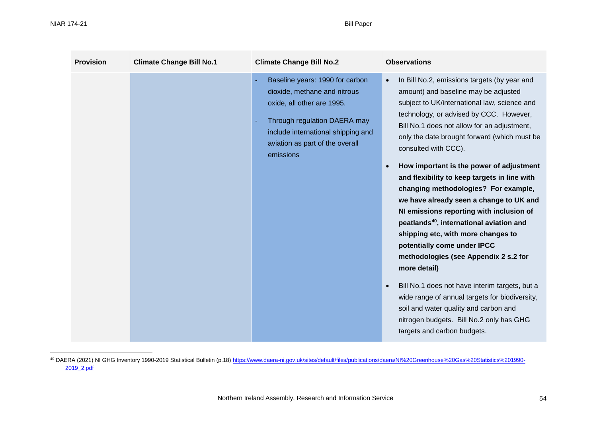| <b>Provision</b> | <b>Climate Change Bill No.1</b> | <b>Climate Change Bill No.2</b>                                                                                                                                                                                     | <b>Observations</b>                                                                                                                                                                                                                                                                                                                                                                                                                                                                                                                                                                                                                                                                                                                                                                                                                                                                                                                                                                    |
|------------------|---------------------------------|---------------------------------------------------------------------------------------------------------------------------------------------------------------------------------------------------------------------|----------------------------------------------------------------------------------------------------------------------------------------------------------------------------------------------------------------------------------------------------------------------------------------------------------------------------------------------------------------------------------------------------------------------------------------------------------------------------------------------------------------------------------------------------------------------------------------------------------------------------------------------------------------------------------------------------------------------------------------------------------------------------------------------------------------------------------------------------------------------------------------------------------------------------------------------------------------------------------------|
|                  |                                 | Baseline years: 1990 for carbon<br>dioxide, methane and nitrous<br>oxide, all other are 1995.<br>Through regulation DAERA may<br>include international shipping and<br>aviation as part of the overall<br>emissions | In Bill No.2, emissions targets (by year and<br>$\bullet$<br>amount) and baseline may be adjusted<br>subject to UK/international law, science and<br>technology, or advised by CCC. However,<br>Bill No.1 does not allow for an adjustment,<br>only the date brought forward (which must be<br>consulted with CCC).<br>How important is the power of adjustment<br>$\bullet$<br>and flexibility to keep targets in line with<br>changing methodologies? For example,<br>we have already seen a change to UK and<br>NI emissions reporting with inclusion of<br>peatlands <sup>40</sup> , international aviation and<br>shipping etc, with more changes to<br>potentially come under IPCC<br>methodologies (see Appendix 2 s.2 for<br>more detail)<br>Bill No.1 does not have interim targets, but a<br>$\bullet$<br>wide range of annual targets for biodiversity,<br>soil and water quality and carbon and<br>nitrogen budgets. Bill No.2 only has GHG<br>targets and carbon budgets. |

<sup>40</sup> DAERA (2021) NI GHG Inventory 1990-2019 Statistical Bulletin (p.18) [https://www.daera-ni.gov.uk/sites/default/files/publications/daera/NI%20Greenhouse%20Gas%20Statistics%201990-](https://www.daera-ni.gov.uk/sites/default/files/publications/daera/NI%20Greenhouse%20Gas%20Statistics%201990-2019_2.pdf) [2019\\_2.pdf](https://www.daera-ni.gov.uk/sites/default/files/publications/daera/NI%20Greenhouse%20Gas%20Statistics%201990-2019_2.pdf)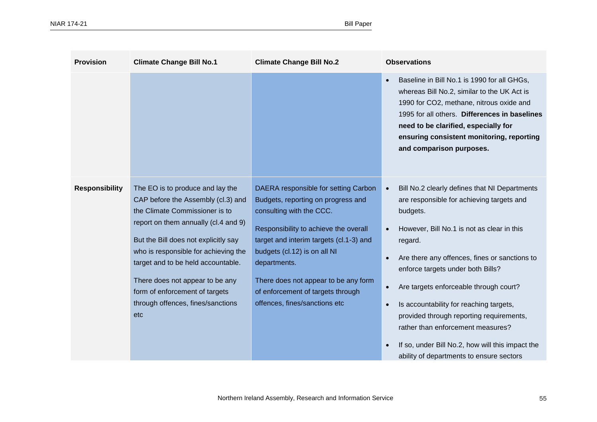| <b>Provision</b>      | <b>Climate Change Bill No.1</b>                                                                                                                                                                                                                                                                                                                                                         | <b>Climate Change Bill No.2</b>                                                                                                                                                                                                                                                                                                                          | <b>Observations</b>                                                                                                                                                                                                                                                                                                                                                                                                                                                                                                                                                |
|-----------------------|-----------------------------------------------------------------------------------------------------------------------------------------------------------------------------------------------------------------------------------------------------------------------------------------------------------------------------------------------------------------------------------------|----------------------------------------------------------------------------------------------------------------------------------------------------------------------------------------------------------------------------------------------------------------------------------------------------------------------------------------------------------|--------------------------------------------------------------------------------------------------------------------------------------------------------------------------------------------------------------------------------------------------------------------------------------------------------------------------------------------------------------------------------------------------------------------------------------------------------------------------------------------------------------------------------------------------------------------|
|                       |                                                                                                                                                                                                                                                                                                                                                                                         |                                                                                                                                                                                                                                                                                                                                                          | Baseline in Bill No.1 is 1990 for all GHGs,<br>$\bullet$<br>whereas Bill No.2, similar to the UK Act is<br>1990 for CO2, methane, nitrous oxide and<br>1995 for all others. Differences in baselines<br>need to be clarified, especially for<br>ensuring consistent monitoring, reporting<br>and comparison purposes.                                                                                                                                                                                                                                              |
| <b>Responsibility</b> | The EO is to produce and lay the<br>CAP before the Assembly (cl.3) and<br>the Climate Commissioner is to<br>report on them annually (cl.4 and 9)<br>But the Bill does not explicitly say<br>who is responsible for achieving the<br>target and to be held accountable.<br>There does not appear to be any<br>form of enforcement of targets<br>through offences, fines/sanctions<br>etc | DAERA responsible for setting Carbon<br>Budgets, reporting on progress and<br>consulting with the CCC.<br>Responsibility to achieve the overall<br>target and interim targets (cl.1-3) and<br>budgets (cl.12) is on all NI<br>departments.<br>There does not appear to be any form<br>of enforcement of targets through<br>offences, fines/sanctions etc | Bill No.2 clearly defines that NI Departments<br>$\bullet$<br>are responsible for achieving targets and<br>budgets.<br>However, Bill No.1 is not as clear in this<br>$\bullet$<br>regard.<br>Are there any offences, fines or sanctions to<br>enforce targets under both Bills?<br>Are targets enforceable through court?<br>Is accountability for reaching targets,<br>$\bullet$<br>provided through reporting requirements,<br>rather than enforcement measures?<br>If so, under Bill No.2, how will this impact the<br>ability of departments to ensure sectors |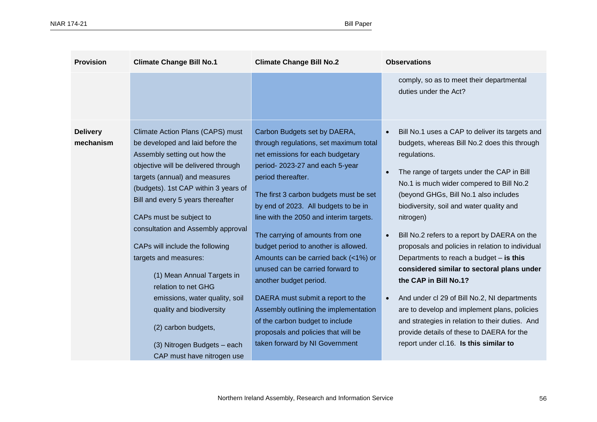| <b>Provision</b>             | <b>Climate Change Bill No.1</b>                                                                                                                                                                                                                                                                                                                                                                                                                                                                                                                                                               | <b>Climate Change Bill No.2</b>                                                                                                                                                                                                                                                                                                                                                                                                                                                                                                                                                                                                                                             | <b>Observations</b>                                                                                                                                                                                                                                                                                                                                                                                                                                                                                                                                                                                                                                                                                                                                                                        |
|------------------------------|-----------------------------------------------------------------------------------------------------------------------------------------------------------------------------------------------------------------------------------------------------------------------------------------------------------------------------------------------------------------------------------------------------------------------------------------------------------------------------------------------------------------------------------------------------------------------------------------------|-----------------------------------------------------------------------------------------------------------------------------------------------------------------------------------------------------------------------------------------------------------------------------------------------------------------------------------------------------------------------------------------------------------------------------------------------------------------------------------------------------------------------------------------------------------------------------------------------------------------------------------------------------------------------------|--------------------------------------------------------------------------------------------------------------------------------------------------------------------------------------------------------------------------------------------------------------------------------------------------------------------------------------------------------------------------------------------------------------------------------------------------------------------------------------------------------------------------------------------------------------------------------------------------------------------------------------------------------------------------------------------------------------------------------------------------------------------------------------------|
|                              |                                                                                                                                                                                                                                                                                                                                                                                                                                                                                                                                                                                               |                                                                                                                                                                                                                                                                                                                                                                                                                                                                                                                                                                                                                                                                             | comply, so as to meet their departmental<br>duties under the Act?                                                                                                                                                                                                                                                                                                                                                                                                                                                                                                                                                                                                                                                                                                                          |
| <b>Delivery</b><br>mechanism | Climate Action Plans (CAPS) must<br>be developed and laid before the<br>Assembly setting out how the<br>objective will be delivered through<br>targets (annual) and measures<br>(budgets). 1st CAP within 3 years of<br>Bill and every 5 years thereafter<br>CAPs must be subject to<br>consultation and Assembly approval<br>CAPs will include the following<br>targets and measures:<br>(1) Mean Annual Targets in<br>relation to net GHG<br>emissions, water quality, soil<br>quality and biodiversity<br>(2) carbon budgets,<br>(3) Nitrogen Budgets - each<br>CAP must have nitrogen use | Carbon Budgets set by DAERA,<br>through regulations, set maximum total<br>net emissions for each budgetary<br>period-2023-27 and each 5-year<br>period thereafter.<br>The first 3 carbon budgets must be set<br>by end of 2023. All budgets to be in<br>line with the 2050 and interim targets.<br>The carrying of amounts from one<br>budget period to another is allowed.<br>Amounts can be carried back (<1%) or<br>unused can be carried forward to<br>another budget period.<br>DAERA must submit a report to the<br>Assembly outlining the implementation<br>of the carbon budget to include<br>proposals and policies that will be<br>taken forward by NI Government | Bill No.1 uses a CAP to deliver its targets and<br>$\bullet$<br>budgets, whereas Bill No.2 does this through<br>regulations.<br>The range of targets under the CAP in Bill<br>No.1 is much wider compered to Bill No.2<br>(beyond GHGs, Bill No.1 also includes<br>biodiversity, soil and water quality and<br>nitrogen)<br>Bill No.2 refers to a report by DAERA on the<br>proposals and policies in relation to individual<br>Departments to reach a budget $-$ is this<br>considered similar to sectoral plans under<br>the CAP in Bill No.1?<br>And under cl 29 of Bill No.2, NI departments<br>are to develop and implement plans, policies<br>and strategies in relation to their duties. And<br>provide details of these to DAERA for the<br>report under cl.16. Is this similar to |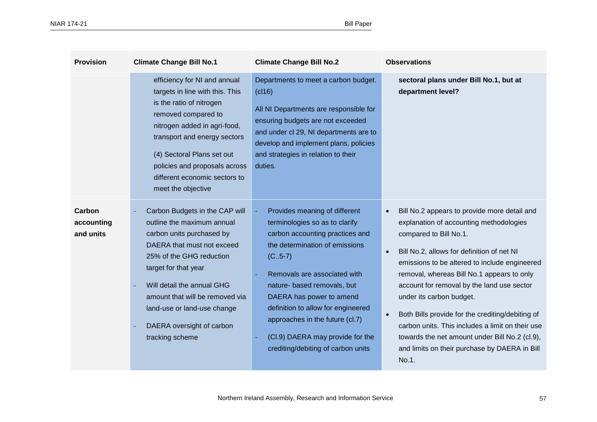| <b>Provision</b>                  | <b>Climate Change Bill No.1</b>                                                                                                                                                                                                                                                                                             | <b>Climate Change Bill No.2</b>                                                                                                                                                                                                                                                                                                                                                                 | <b>Observations</b>                                                                                                                                                                                                                                                                                                                                                                                                                                                                                                                                                                                 |
|-----------------------------------|-----------------------------------------------------------------------------------------------------------------------------------------------------------------------------------------------------------------------------------------------------------------------------------------------------------------------------|-------------------------------------------------------------------------------------------------------------------------------------------------------------------------------------------------------------------------------------------------------------------------------------------------------------------------------------------------------------------------------------------------|-----------------------------------------------------------------------------------------------------------------------------------------------------------------------------------------------------------------------------------------------------------------------------------------------------------------------------------------------------------------------------------------------------------------------------------------------------------------------------------------------------------------------------------------------------------------------------------------------------|
|                                   | efficiency for NI and annual<br>targets in line with this. This<br>is the ratio of nitrogen<br>removed compared to<br>nitrogen added in agri-food,<br>transport and energy sectors<br>(4) Sectoral Plans set out<br>policies and proposals across<br>different economic sectors to<br>meet the objective                    | Departments to meet a carbon budget.<br>(cl16)<br>All NI Departments are responsible for<br>ensuring budgets are not exceeded<br>and under cl 29, NI departments are to<br>develop and implement plans, policies<br>and strategies in relation to their<br>duties.                                                                                                                              | sectoral plans under Bill No.1, but at<br>department level?                                                                                                                                                                                                                                                                                                                                                                                                                                                                                                                                         |
| Carbon<br>accounting<br>and units | Carbon Budgets in the CAP will<br>outline the maximum annual<br>carbon units purchased by<br>DAERA that must not exceed<br>25% of the GHG reduction<br>target for that year<br>Will detail the annual GHG<br>amount that will be removed via<br>land-use or land-use change<br>DAERA oversight of carbon<br>tracking scheme | Provides meaning of different<br>terminologies so as to clarify<br>carbon accounting practices and<br>the determination of emissions<br>$(C.5-7)$<br>Removals are associated with<br>nature- based removals, but<br>DAERA has power to amend<br>definition to allow for engineered<br>approaches in the future (cl.7)<br>(Cl.9) DAERA may provide for the<br>crediting/debiting of carbon units | Bill No.2 appears to provide more detail and<br>$\bullet$<br>explanation of accounting methodologies<br>compared to Bill No.1.<br>Bill No.2, allows for definition of net NI<br>$\bullet$<br>emissions to be altered to include engineered<br>removal, whereas Bill No.1 appears to only<br>account for removal by the land use sector<br>under its carbon budget.<br>Both Bills provide for the crediting/debiting of<br>$\bullet$<br>carbon units. This includes a limit on their use<br>towards the net amount under Bill No.2 (cl.9),<br>and limits on their purchase by DAERA in Bill<br>No.1. |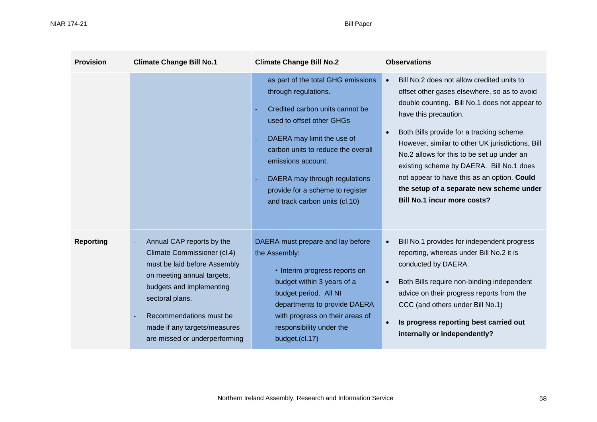| <b>Provision</b> | <b>Climate Change Bill No.1</b>                                                                                                                                                                                                                                   | <b>Climate Change Bill No.2</b>                                                                                                                                                                                                                                                                                             | <b>Observations</b>                                                                                                                                                                                                                                                                                                                                                                                                                                                                                                        |
|------------------|-------------------------------------------------------------------------------------------------------------------------------------------------------------------------------------------------------------------------------------------------------------------|-----------------------------------------------------------------------------------------------------------------------------------------------------------------------------------------------------------------------------------------------------------------------------------------------------------------------------|----------------------------------------------------------------------------------------------------------------------------------------------------------------------------------------------------------------------------------------------------------------------------------------------------------------------------------------------------------------------------------------------------------------------------------------------------------------------------------------------------------------------------|
|                  |                                                                                                                                                                                                                                                                   | as part of the total GHG emissions<br>through regulations.<br>Credited carbon units cannot be<br>used to offset other GHGs<br>DAERA may limit the use of<br>carbon units to reduce the overall<br>emissions account.<br>DAERA may through regulations<br>provide for a scheme to register<br>and track carbon units (cl.10) | Bill No.2 does not allow credited units to<br>$\bullet$<br>offset other gases elsewhere, so as to avoid<br>double counting. Bill No.1 does not appear to<br>have this precaution.<br>Both Bills provide for a tracking scheme.<br>$\bullet$<br>However, similar to other UK jurisdictions, Bill<br>No.2 allows for this to be set up under an<br>existing scheme by DAERA. Bill No.1 does<br>not appear to have this as an option. Could<br>the setup of a separate new scheme under<br><b>Bill No.1 incur more costs?</b> |
| <b>Reporting</b> | Annual CAP reports by the<br>Climate Commissioner (cl.4)<br>must be laid before Assembly<br>on meeting annual targets,<br>budgets and implementing<br>sectoral plans.<br>Recommendations must be<br>made if any targets/measures<br>are missed or underperforming | DAERA must prepare and lay before<br>the Assembly:<br>• Interim progress reports on<br>budget within 3 years of a<br>budget period. All NI<br>departments to provide DAERA<br>with progress on their areas of<br>responsibility under the<br>budget.(cl.17)                                                                 | Bill No.1 provides for independent progress<br>$\bullet$<br>reporting, whereas under Bill No.2 it is<br>conducted by DAERA.<br>Both Bills require non-binding independent<br>$\bullet$<br>advice on their progress reports from the<br>CCC (and others under Bill No.1)<br>Is progress reporting best carried out<br>$\bullet$<br>internally or independently?                                                                                                                                                             |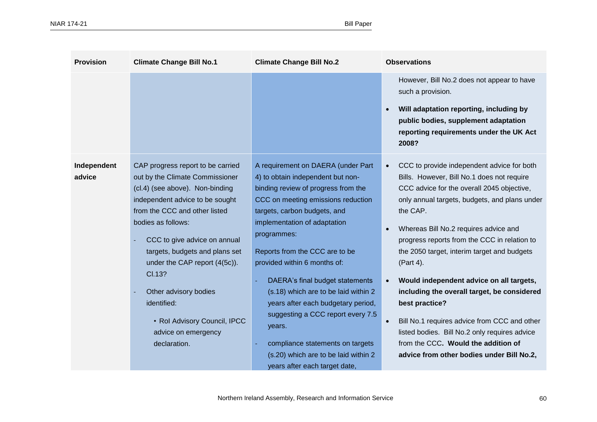| <b>Provision</b> | <b>Climate Change Bill No.1</b>                                     | <b>Climate Change Bill No.2</b>                                                 | <b>Observations</b>                                                                                                                                                                                    |
|------------------|---------------------------------------------------------------------|---------------------------------------------------------------------------------|--------------------------------------------------------------------------------------------------------------------------------------------------------------------------------------------------------|
|                  |                                                                     |                                                                                 | However, Bill No.2 does not appear to have<br>such a provision.<br>Will adaptation reporting, including by<br>public bodies, supplement adaptation<br>reporting requirements under the UK Act<br>2008? |
| Independent      | CAP progress report to be carried                                   | A requirement on DAERA (under Part                                              | CCC to provide independent advice for both<br>$\bullet$                                                                                                                                                |
| advice           | out by the Climate Commissioner                                     | 4) to obtain independent but non-                                               | Bills. However, Bill No.1 does not require                                                                                                                                                             |
|                  | (cl.4) (see above). Non-binding                                     | binding review of progress from the                                             | CCC advice for the overall 2045 objective,                                                                                                                                                             |
|                  | independent advice to be sought                                     | CCC on meeting emissions reduction                                              | only annual targets, budgets, and plans under                                                                                                                                                          |
|                  | from the CCC and other listed                                       | targets, carbon budgets, and                                                    | the CAP.                                                                                                                                                                                               |
|                  | bodies as follows:<br>CCC to give advice on annual                  | implementation of adaptation<br>programmes:                                     | Whereas Bill No.2 requires advice and<br>progress reports from the CCC in relation to                                                                                                                  |
|                  | targets, budgets and plans set                                      | Reports from the CCC are to be                                                  | the 2050 target, interim target and budgets                                                                                                                                                            |
|                  | under the CAP report (4(5c)).                                       | provided within 6 months of:                                                    | (Part 4).                                                                                                                                                                                              |
|                  | Cl.13?                                                              | DAERA's final budget statements                                                 | Would independent advice on all targets,                                                                                                                                                               |
|                  | Other advisory bodies                                               | (s.18) which are to be laid within 2                                            | including the overall target, be considered                                                                                                                                                            |
|                  | identified:                                                         | years after each budgetary period,                                              | best practice?                                                                                                                                                                                         |
|                  | • Rol Advisory Council, IPCC<br>advice on emergency<br>declaration. | suggesting a CCC report every 7.5<br>years.<br>compliance statements on targets | Bill No.1 requires advice from CCC and other<br>$\bullet$<br>listed bodies. Bill No.2 only requires advice<br>from the CCC. Would the addition of                                                      |
|                  |                                                                     | (s.20) which are to be laid within 2                                            | advice from other bodies under Bill No.2,                                                                                                                                                              |
|                  |                                                                     | years after each target date,                                                   |                                                                                                                                                                                                        |
|                  |                                                                     |                                                                                 |                                                                                                                                                                                                        |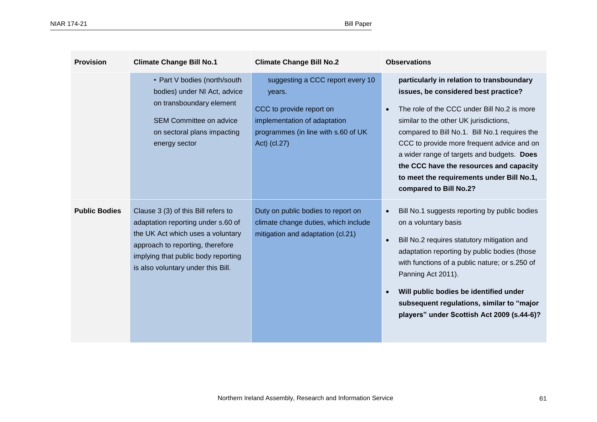| <b>Provision</b>     | <b>Climate Change Bill No.1</b>                                                                                                                                                                                                 | <b>Climate Change Bill No.2</b>                                                                                                                               | <b>Observations</b>                                                                                                                                                                                                                                                                                                                                                                                                                                    |
|----------------------|---------------------------------------------------------------------------------------------------------------------------------------------------------------------------------------------------------------------------------|---------------------------------------------------------------------------------------------------------------------------------------------------------------|--------------------------------------------------------------------------------------------------------------------------------------------------------------------------------------------------------------------------------------------------------------------------------------------------------------------------------------------------------------------------------------------------------------------------------------------------------|
|                      | • Part V bodies (north/south<br>bodies) under NI Act, advice<br>on transboundary element<br>SEM Committee on advice<br>on sectoral plans impacting<br>energy sector                                                             | suggesting a CCC report every 10<br>years.<br>CCC to provide report on<br>implementation of adaptation<br>programmes (in line with s.60 of UK<br>Act) (cl.27) | particularly in relation to transboundary<br>issues, be considered best practice?<br>The role of the CCC under Bill No.2 is more<br>$\bullet$<br>similar to the other UK jurisdictions,<br>compared to Bill No.1. Bill No.1 requires the<br>CCC to provide more frequent advice and on<br>a wider range of targets and budgets. Does<br>the CCC have the resources and capacity<br>to meet the requirements under Bill No.1,<br>compared to Bill No.2? |
| <b>Public Bodies</b> | Clause 3 (3) of this Bill refers to<br>adaptation reporting under s.60 of<br>the UK Act which uses a voluntary<br>approach to reporting, therefore<br>implying that public body reporting<br>is also voluntary under this Bill. | Duty on public bodies to report on<br>climate change duties, which include<br>mitigation and adaptation (cl.21)                                               | Bill No.1 suggests reporting by public bodies<br>$\bullet$<br>on a voluntary basis<br>Bill No.2 requires statutory mitigation and<br>$\bullet$<br>adaptation reporting by public bodies (those<br>with functions of a public nature; or s.250 of<br>Panning Act 2011).<br>Will public bodies be identified under<br>subsequent regulations, similar to "major<br>players" under Scottish Act 2009 (s.44-6)?                                            |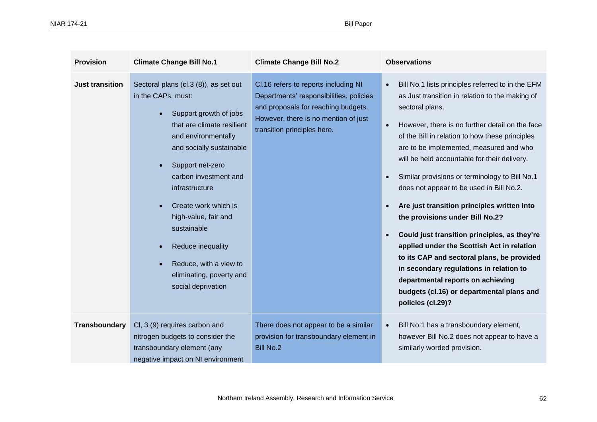| <b>Provision</b>       | <b>Climate Change Bill No.1</b>                                                                                                                                                                                                                                                                                                                                                                       | <b>Climate Change Bill No.2</b>                                                                                                                                                               | <b>Observations</b>                                                                                                                                                                                                                                                                                                                                                                                                                                                                                                                                                                                                                                                                                                                                                                                                              |
|------------------------|-------------------------------------------------------------------------------------------------------------------------------------------------------------------------------------------------------------------------------------------------------------------------------------------------------------------------------------------------------------------------------------------------------|-----------------------------------------------------------------------------------------------------------------------------------------------------------------------------------------------|----------------------------------------------------------------------------------------------------------------------------------------------------------------------------------------------------------------------------------------------------------------------------------------------------------------------------------------------------------------------------------------------------------------------------------------------------------------------------------------------------------------------------------------------------------------------------------------------------------------------------------------------------------------------------------------------------------------------------------------------------------------------------------------------------------------------------------|
| <b>Just transition</b> | Sectoral plans (cl.3 (8)), as set out<br>in the CAPs, must:<br>Support growth of jobs<br>that are climate resilient<br>and environmentally<br>and socially sustainable<br>Support net-zero<br>carbon investment and<br>infrastructure<br>Create work which is<br>high-value, fair and<br>sustainable<br>Reduce inequality<br>Reduce, with a view to<br>eliminating, poverty and<br>social deprivation | Cl.16 refers to reports including NI<br>Departments' responsibilities, policies<br>and proposals for reaching budgets.<br>However, there is no mention of just<br>transition principles here. | Bill No.1 lists principles referred to in the EFM<br>$\bullet$<br>as Just transition in relation to the making of<br>sectoral plans.<br>However, there is no further detail on the face<br>$\bullet$<br>of the Bill in relation to how these principles<br>are to be implemented, measured and who<br>will be held accountable for their delivery.<br>Similar provisions or terminology to Bill No.1<br>does not appear to be used in Bill No.2.<br>Are just transition principles written into<br>the provisions under Bill No.2?<br>Could just transition principles, as they're<br>applied under the Scottish Act in relation<br>to its CAP and sectoral plans, be provided<br>in secondary regulations in relation to<br>departmental reports on achieving<br>budgets (cl.16) or departmental plans and<br>policies (cl.29)? |
| Transboundary          | Cl, 3 (9) requires carbon and<br>nitrogen budgets to consider the<br>transboundary element (any<br>negative impact on NI environment                                                                                                                                                                                                                                                                  | There does not appear to be a similar<br>provision for transboundary element in<br><b>Bill No.2</b>                                                                                           | Bill No.1 has a transboundary element,<br>$\bullet$<br>however Bill No.2 does not appear to have a<br>similarly worded provision.                                                                                                                                                                                                                                                                                                                                                                                                                                                                                                                                                                                                                                                                                                |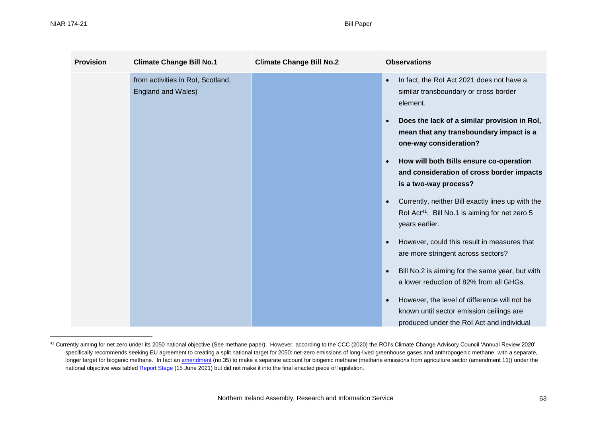| <b>Provision</b> | <b>Climate Change Bill No.1</b>                         | <b>Climate Change Bill No.2</b> | <b>Observations</b>                                                                                                                                |
|------------------|---------------------------------------------------------|---------------------------------|----------------------------------------------------------------------------------------------------------------------------------------------------|
|                  | from activities in RoI, Scotland,<br>England and Wales) |                                 | In fact, the RoI Act 2021 does not have a<br>$\bullet$<br>similar transboundary or cross border<br>element.                                        |
|                  |                                                         |                                 | Does the lack of a similar provision in Rol,<br>$\bullet$<br>mean that any transboundary impact is a<br>one-way consideration?                     |
|                  |                                                         |                                 | How will both Bills ensure co-operation<br>$\bullet$<br>and consideration of cross border impacts<br>is a two-way process?                         |
|                  |                                                         |                                 | Currently, neither Bill exactly lines up with the<br>Rol Act <sup>41</sup> . Bill No.1 is aiming for net zero 5<br>years earlier.                  |
|                  |                                                         |                                 | However, could this result in measures that<br>are more stringent across sectors?                                                                  |
|                  |                                                         |                                 | Bill No.2 is aiming for the same year, but with<br>a lower reduction of 82% from all GHGs.                                                         |
|                  |                                                         |                                 | However, the level of difference will not be<br>$\bullet$<br>known until sector emission ceilings are<br>produced under the Rol Act and individual |

<sup>41</sup> Currently aiming for net zero under its 2050 national objective (See methane paper). However, according to the CCC (2020) the ROI's Climate Change Advisory Council 'Annual Review 2020' specifically recommends seeking EU agreement to creating a split national target for 2050: net-zero emissions of long-lived greenhouse gases and anthropogenic methane, with a separate, longer target for biogenic methane. In fact an [amendment](https://www.oireachtas.ie/en/bills/bill/2021/39/?tab=amendments) (no.35) to make a separate account for biogenic methane (methane emissions from agriculture sector (amendment 11)) under the national objective was table[d Report Stage](https://www.oireachtas.ie/en/bills/bill/2021/39/?tab=amendments) (15 June 2021) but did not make it into the final enacted piece of legislation.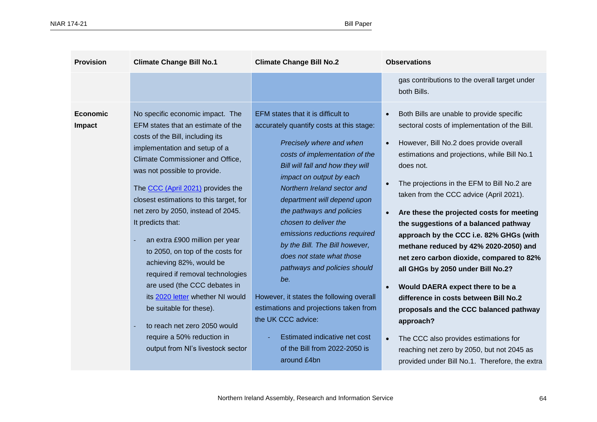| <b>Provision</b>          | <b>Climate Change Bill No.1</b>                                                                                                                                                                                                                                                                                                                                                                                                                                                                                                                                                                                                                                                                   | <b>Climate Change Bill No.2</b>                                                                                                                                                                                                                                                                                                                                                                                                                                                                                                                                                                                                                                      | <b>Observations</b>                                                                                                                                                                                                                                                                                                                                                                                                                                                                                                                                                                                                                                                                                                                                                                                                                                            |
|---------------------------|---------------------------------------------------------------------------------------------------------------------------------------------------------------------------------------------------------------------------------------------------------------------------------------------------------------------------------------------------------------------------------------------------------------------------------------------------------------------------------------------------------------------------------------------------------------------------------------------------------------------------------------------------------------------------------------------------|----------------------------------------------------------------------------------------------------------------------------------------------------------------------------------------------------------------------------------------------------------------------------------------------------------------------------------------------------------------------------------------------------------------------------------------------------------------------------------------------------------------------------------------------------------------------------------------------------------------------------------------------------------------------|----------------------------------------------------------------------------------------------------------------------------------------------------------------------------------------------------------------------------------------------------------------------------------------------------------------------------------------------------------------------------------------------------------------------------------------------------------------------------------------------------------------------------------------------------------------------------------------------------------------------------------------------------------------------------------------------------------------------------------------------------------------------------------------------------------------------------------------------------------------|
|                           |                                                                                                                                                                                                                                                                                                                                                                                                                                                                                                                                                                                                                                                                                                   |                                                                                                                                                                                                                                                                                                                                                                                                                                                                                                                                                                                                                                                                      | gas contributions to the overall target under<br>both Bills.                                                                                                                                                                                                                                                                                                                                                                                                                                                                                                                                                                                                                                                                                                                                                                                                   |
| Economic<br><b>Impact</b> | No specific economic impact. The<br>EFM states that an estimate of the<br>costs of the Bill, including its<br>implementation and setup of a<br>Climate Commissioner and Office,<br>was not possible to provide.<br>The CCC (April 2021) provides the<br>closest estimations to this target, for<br>net zero by 2050, instead of 2045.<br>It predicts that:<br>an extra £900 million per year<br>to 2050, on top of the costs for<br>achieving 82%, would be<br>required if removal technologies<br>are used (the CCC debates in<br>its 2020 letter whether NI would<br>be suitable for these).<br>to reach net zero 2050 would<br>require a 50% reduction in<br>output from NI's livestock sector | EFM states that it is difficult to<br>accurately quantify costs at this stage:<br>Precisely where and when<br>costs of implementation of the<br>Bill will fall and how they will<br>impact on output by each<br>Northern Ireland sector and<br>department will depend upon<br>the pathways and policies<br>chosen to deliver the<br>emissions reductions required<br>by the Bill. The Bill however,<br>does not state what those<br>pathways and policies should<br>be.<br>However, it states the following overall<br>estimations and projections taken from<br>the UK CCC advice:<br>Estimated indicative net cost<br>of the Bill from 2022-2050 is<br>around £4bn | Both Bills are unable to provide specific<br>sectoral costs of implementation of the Bill.<br>However, Bill No.2 does provide overall<br>$\bullet$<br>estimations and projections, while Bill No.1<br>does not.<br>The projections in the EFM to Bill No.2 are<br>taken from the CCC advice (April 2021).<br>Are these the projected costs for meeting<br>the suggestions of a balanced pathway<br>approach by the CCC i.e. 82% GHGs (with<br>methane reduced by 42% 2020-2050) and<br>net zero carbon dioxide, compared to 82%<br>all GHGs by 2050 under Bill No.2?<br>Would DAERA expect there to be a<br>difference in costs between Bill No.2<br>proposals and the CCC balanced pathway<br>approach?<br>The CCC also provides estimations for<br>$\bullet$<br>reaching net zero by 2050, but not 2045 as<br>provided under Bill No.1. Therefore, the extra |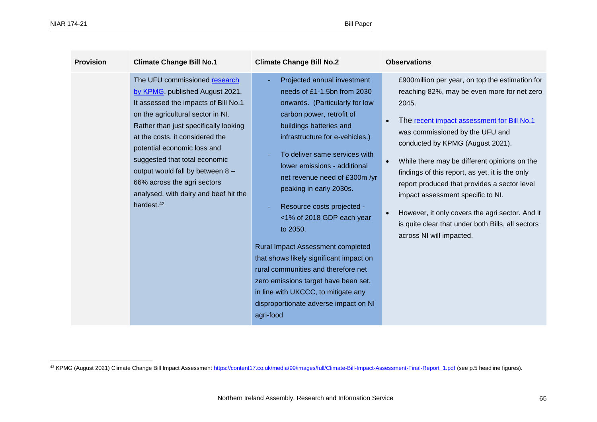| <b>Climate Change Bill No.1</b><br><b>Provision</b>                                                                                                                                                                                                                                                                                                                                                                             | <b>Climate Change Bill No.2</b>                                                                                                                                                                                                                                                                                                                                                                                                                                                                                                                                                                                                                                | <b>Observations</b>                                                                                                                                                                                                                                                                                                                                                                                                                                                                                                                                                                             |
|---------------------------------------------------------------------------------------------------------------------------------------------------------------------------------------------------------------------------------------------------------------------------------------------------------------------------------------------------------------------------------------------------------------------------------|----------------------------------------------------------------------------------------------------------------------------------------------------------------------------------------------------------------------------------------------------------------------------------------------------------------------------------------------------------------------------------------------------------------------------------------------------------------------------------------------------------------------------------------------------------------------------------------------------------------------------------------------------------------|-------------------------------------------------------------------------------------------------------------------------------------------------------------------------------------------------------------------------------------------------------------------------------------------------------------------------------------------------------------------------------------------------------------------------------------------------------------------------------------------------------------------------------------------------------------------------------------------------|
| The UFU commissioned research<br>by KPMG, published August 2021.<br>It assessed the impacts of Bill No.1<br>on the agricultural sector in NI.<br>Rather than just specifically looking<br>at the costs, it considered the<br>potential economic loss and<br>suggested that total economic<br>output would fall by between 8 -<br>66% across the agri sectors<br>analysed, with dairy and beef hit the<br>hardest. <sup>42</sup> | Projected annual investment<br>needs of £1-1.5bn from 2030<br>onwards. (Particularly for low<br>carbon power, retrofit of<br>buildings batteries and<br>infrastructure for e-vehicles.)<br>To deliver same services with<br>lower emissions - additional<br>net revenue need of £300m /yr<br>peaking in early 2030s.<br>Resource costs projected -<br><1% of 2018 GDP each year<br>to 2050.<br><b>Rural Impact Assessment completed</b><br>that shows likely significant impact on<br>rural communities and therefore net<br>zero emissions target have been set,<br>in line with UKCCC, to mitigate any<br>disproportionate adverse impact on NI<br>agri-food | £900million per year, on top the estimation for<br>reaching 82%, may be even more for net zero<br>2045.<br>The recent impact assessment for Bill No.1<br>$\bullet$<br>was commissioned by the UFU and<br>conducted by KPMG (August 2021).<br>While there may be different opinions on the<br>$\bullet$<br>findings of this report, as yet, it is the only<br>report produced that provides a sector level<br>impact assessment specific to NI.<br>However, it only covers the agri sector. And it<br>$\bullet$<br>is quite clear that under both Bills, all sectors<br>across NI will impacted. |

<sup>&</sup>lt;sup>42</sup> KPMG (August 2021) Climate Change Bill Impact Assessmen[t https://content17.co.uk/media/99/images/full/Climate-Bill-Impact-Assessment-Final-Report\\_1.pdf](https://content17.co.uk/media/99/images/full/Climate-Bill-Impact-Assessment-Final-Report_1.pdf) (see p.5 headline figures).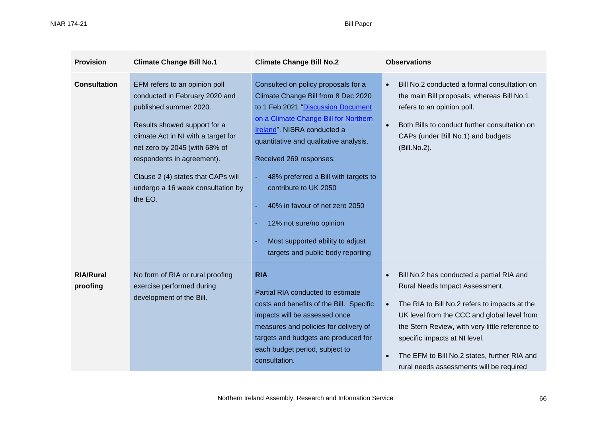| <b>Provision</b>             | <b>Climate Change Bill No.1</b>                                                                                                                                                                                                                                                                                       | <b>Climate Change Bill No.2</b>                                                                                                                                                                                                                                                                                                                                                                                                                                      | <b>Observations</b>                                                                                                                                                                                                                                                                                                                                                      |
|------------------------------|-----------------------------------------------------------------------------------------------------------------------------------------------------------------------------------------------------------------------------------------------------------------------------------------------------------------------|----------------------------------------------------------------------------------------------------------------------------------------------------------------------------------------------------------------------------------------------------------------------------------------------------------------------------------------------------------------------------------------------------------------------------------------------------------------------|--------------------------------------------------------------------------------------------------------------------------------------------------------------------------------------------------------------------------------------------------------------------------------------------------------------------------------------------------------------------------|
| <b>Consultation</b>          | EFM refers to an opinion poll<br>conducted in February 2020 and<br>published summer 2020.<br>Results showed support for a<br>climate Act in NI with a target for<br>net zero by 2045 (with 68% of<br>respondents in agreement).<br>Clause 2 (4) states that CAPs will<br>undergo a 16 week consultation by<br>the EO. | Consulted on policy proposals for a<br>Climate Change Bill from 8 Dec 2020<br>to 1 Feb 2021 "Discussion Document<br>on a Climate Change Bill for Northern<br>Ireland". NISRA conducted a<br>quantitative and qualitative analysis.<br>Received 269 responses:<br>48% preferred a Bill with targets to<br>contribute to UK 2050<br>40% in favour of net zero 2050<br>12% not sure/no opinion<br>Most supported ability to adjust<br>targets and public body reporting | Bill No.2 conducted a formal consultation on<br>$\bullet$<br>the main Bill proposals, whereas Bill No.1<br>refers to an opinion poll.<br>Both Bills to conduct further consultation on<br>$\bullet$<br>CAPs (under Bill No.1) and budgets<br>(Bill.No.2).                                                                                                                |
| <b>RIA/Rural</b><br>proofing | No form of RIA or rural proofing<br>exercise performed during<br>development of the Bill.                                                                                                                                                                                                                             | <b>RIA</b><br>Partial RIA conducted to estimate<br>costs and benefits of the Bill. Specific<br>impacts will be assessed once<br>measures and policies for delivery of<br>targets and budgets are produced for<br>each budget period, subject to<br>consultation.                                                                                                                                                                                                     | Bill No.2 has conducted a partial RIA and<br>Rural Needs Impact Assessment.<br>The RIA to Bill No.2 refers to impacts at the<br>$\bullet$<br>UK level from the CCC and global level from<br>the Stern Review, with very little reference to<br>specific impacts at NI level.<br>The EFM to Bill No.2 states, further RIA and<br>rural needs assessments will be required |